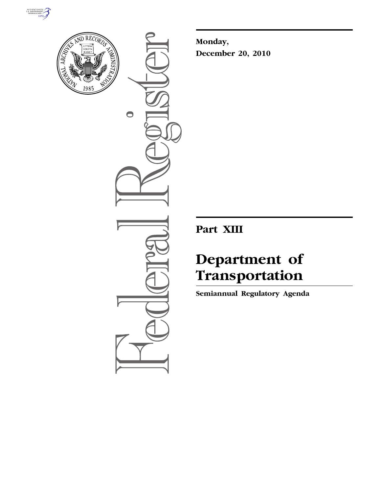



 $\bullet$ 

**Monday, December 20, 2010** 

**Part XIII** 

# **Department of Transportation**

**Semiannual Regulatory Agenda**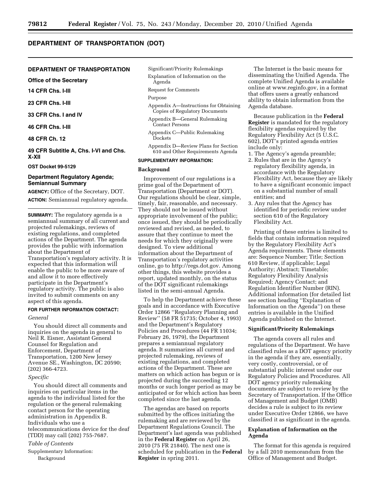## **DEPARTMENT OF TRANSPORTATION (DOT)**

#### **DEPARTMENT OF TRANSPORTATION**

**Office of the Secretary** 

```
14 CFR Chs. I-III
```
**23 CFR Chs. I-III** 

**33 CFR Chs. I and IV** 

**46 CFR Chs. I-III** 

**48 CFR Ch. 12** 

**49 CFR Subtitle A, Chs. I-VI and Chs. X-XII** 

**OST Docket 99-5129** 

## **Department Regulatory Agenda; Semiannual Summary**

**AGENCY:** Office of the Secretary, DOT.

**ACTION:** Semiannual regulatory agenda.

**SUMMARY:** The regulatory agenda is a semiannual summary of all current and projected rulemakings, reviews of existing regulations, and completed actions of the Department. The agenda provides the public with information about the Department of Transportation's regulatory activity. It is expected that this information will enable the public to be more aware of and allow it to more effectively participate in the Department's regulatory activity. The public is also invited to submit comments on any aspect of this agenda.

## **FOR FURTHER INFORMATION CONTACT:**

## *General*

You should direct all comments and inquiries on the agenda in general to Neil R. Eisner, Assistant General Counsel for Regulation and Enforcement, Department of Transportation, 1200 New Jersey Avenue SE., Washington, DC 20590; (202) 366-4723.

#### *Specific*

You should direct all comments and inquiries on particular items in the agenda to the individual listed for the regulation or the general rulemaking contact person for the operating administration in Appendix B. Individuals who use a telecommunications device for the deaf (TDD) may call (202) 755-7687.

#### *Table of Contents*

Supplementary Information: Background

## Significant/Priority Rulemakings

- Explanation of Information on the Agenda
- Request for Comments

#### Purpose

- Appendix A—Instructions for Obtaining Copies of Regulatory Documents
- Appendix B—General Rulemaking Contact Persons
- Appendix C—Public Rulemaking Dockets
- Appendix D—Review Plans for Section 610 and Other Requirements Agenda

#### **SUPPLEMENTARY INFORMATION:**

#### **Background**

Improvement of our regulations is a prime goal of the Department of Transportation (Department or DOT). Our regulations should be clear, simple, timely, fair, reasonable, and necessary. They should not be issued without appropriate involvement of the public; once issued, they should be periodically reviewed and revised, as needed, to assure that they continue to meet the needs for which they originally were designed. To view additional information about the Department of Transportation's regulatory activities online, g[o to http://regs.dot.gov. A](http://regs.dot.gov)mong other things, this website provides a report, updated monthly, on the status of the DOT significant rulemakings listed in the semi-annual Agenda.

To help the Department achieve these goals and in accordance with Executive Order 12866 ''Regulatory Planning and Review'' (58 FR 51735; October 4, 1993) and the Department's Regulatory Policies and Procedures (44 FR 11034; February 26, 1979), the Department prepares a semiannual regulatory agenda. It summarizes all current and projected rulemaking, reviews of existing regulations, and completed actions of the Department. These are matters on which action has begun or is projected during the succeeding 12 months or such longer period as may be anticipated or for which action has been completed since the last agenda.

The agendas are based on reports submitted by the offices initiating the rulemaking and are reviewed by the Department Regulations Council. The Department's last agenda was published in the **Federal Register** on April 26, 2010 (75 FR 21840). The next one is scheduled for publication in the **Federal Register** in spring 2011.

The Internet is the basic means for disseminating the Unified Agenda. The complete Unified Agenda is available online at [www.reginfo.gov,](http://www.reginfo.gov) in a format that offers users a greatly enhanced ability to obtain information from the Agenda database.

Because publication in the **Federal Register** is mandated for the regulatory flexibility agendas required by the Regulatory Flexibility Act (5 U.S.C. 602), DOT's printed agenda entries include only:

- 1. The Agency's agenda preamble;
- 2. Rules that are in the Agency's regulatory flexibility agenda, in accordance with the Regulatory Flexibility Act, because they are likely to have a significant economic impact on a substantial number of small entities; and
- 3. Any rules that the Agency has identified for periodic review under section 610 of the Regulatory Flexibility Act.

Printing of these entries is limited to fields that contain information required by the Regulatory Flexibility Act's Agenda requirements. These elements are: Sequence Number; Title; Section 610 Review, if applicable; Legal Authority; Abstract; Timetable; Regulatory Flexibility Analysis Required; Agency Contact; and Regulation Identifier Number (RIN). Additional information (for detailed list see section heading ''Explanation of Information on the Agenda'') on these entries is available in the Unified Agenda published on the Internet.

#### **Significant/Priority Rulemakings**

The agenda covers all rules and regulations of the Department. We have classified rules as a DOT agency priority in the agenda if they are, essentially, very costly, controversial, or of substantial public interest under our Regulatory Policies and Procedures. All DOT agency priority rulemaking documents are subject to review by the Secretary of Transportation. If the Office of Management and Budget (OMB) decides a rule is subject to its review under Executive Order 12866, we have classified it as significant in the agenda.

### **Explanation of Information on the Agenda**

The format for this agenda is required by a fall 2010 memorandum from the Office of Management and Budget.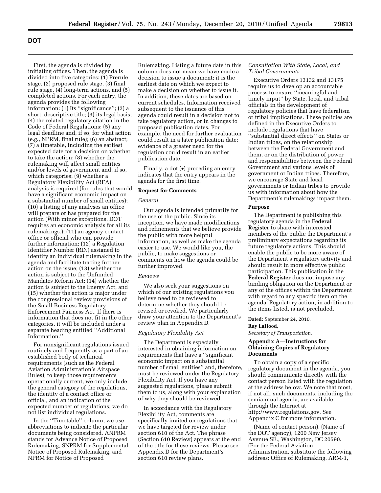First, the agenda is divided by initiating offices. Then, the agenda is divided into five categories: (1) Prerule stage, (2) proposed rule stage, (3) final rule stage, (4) long-term actions, and (5) completed actions. For each entry, the agenda provides the following information: (1) Its ''significance''; (2) a short, descriptive title; (3) its legal basis; (4) the related regulatory citation in the Code of Federal Regulations; (5) any legal deadline and, if so, for what action (e.g., NPRM, final rule); (6) an abstract; (7) a timetable, including the earliest expected date for a decision on whether to take the action; (8) whether the rulemaking will affect small entities and/or levels of government and, if so, which categories; (9) whether a Regulatory Flexibility Act (RFA) analysis is required (for rules that would have a significant economic impact on a substantial number of small entities); (10) a listing of any analyses an office will prepare or has prepared for the action (With minor exceptions, DOT requires an economic analysis for all its rulemakings.); (11) an agency contact office or official who can provide further information; (12) a Regulation Identifier Number (RIN) assigned to identify an individual rulemaking in the agenda and facilitate tracing further action on the issue; (13) whether the action is subject to the Unfunded Mandates Reform Act; (14) whether the action is subject to the Energy Act; and (15) whether the action is major under the congressional review provisions of the Small Business Regulatory Enforcement Fairness Act. If there is information that does not fit in the other categories, it will be included under a separate heading entitled ''Additional Information.''

For nonsignificant regulations issued routinely and frequently as a part of an established body of technical requirements (such as the Federal Aviation Administration's Airspace Rules), to keep those requirements operationally current, we only include the general category of the regulations, the identity of a contact office or official, and an indication of the expected number of regulations; we do not list individual regulations.

In the ''Timetable'' column, we use abbreviations to indicate the particular documents being considered. ANPRM stands for Advance Notice of Proposed Rulemaking, SNPRM for Supplemental Notice of Proposed Rulemaking, and NPRM for Notice of Proposed

Rulemaking. Listing a future date in this column does not mean we have made a decision to issue a document; it is the earliest date on which we expect to make a decision on whether to issue it. In addition, these dates are based on current schedules. Information received subsequent to the issuance of this agenda could result in a decision not to take regulatory action, or in changes to proposed publication dates. For example, the need for further evaluation could result in a later publication date; evidence of a greater need for the regulation could result in an earlier publication date.

Finally, a dot (•) preceding an entry indicates that the entry appears in the agenda for the first time.

#### **Request for Comments**

#### *General*

Our agenda is intended primarily for the use of the public. Since its inception, we have made modifications and refinements that we believe provide the public with more helpful information, as well as make the agenda easier to use. We would like you, the public, to make suggestions or comments on how the agenda could be further improved.

## *Reviews*

We also seek your suggestions on which of our existing regulations you believe need to be reviewed to determine whether they should be revised or revoked. We particularly draw your attention to the Department's review plan in Appendix D.

#### *Regulatory Flexibility Act*

The Department is especially interested in obtaining information on requirements that have a ''significant economic impact on a substantial number of small entities'' and, therefore, must be reviewed under the Regulatory Flexibility Act. If you have any suggested regulations, please submit them to us, along with your explanation of why they should be reviewed.

In accordance with the Regulatory Flexibility Act, comments are specifically invited on regulations that we have targeted for review under section 610 of the Act. The phrase (Section 610 Review) appears at the end of the title for these reviews. Please see Appendix D for the Department's section 610 review plans.

### *Consultation With State, Local, and Tribal Governments*

Executive Orders 13132 and 13175 require us to develop an accountable process to ensure ''meaningful and timely input'' by State, local, and tribal officials in the development of regulatory policies that have federalism or tribal implications. These policies are defined in the Executive Orders to include regulations that have ''substantial direct effects'' on States or Indian tribes, on the relationship between the Federal Government and them, or on the distribution of power and responsibilities between the Federal Government and various levels of government or Indian tribes. Therefore, we encourage State and local governments or Indian tribes to provide us with information about how the Department's rulemakings impact them.

#### **Purpose**

The Department is publishing this regulatory agenda in the **Federal Register** to share with interested members of the public the Department's preliminary expectations regarding its future regulatory actions. This should enable the public to be more aware of the Department's regulatory activity and should result in more effective public participation. This publication in the **Federal Register** does not impose any binding obligation on the Department or any of the offices within the Department with regard to any specific item on the agenda. Regulatory action, in addition to the items listed, is not precluded.

**Dated:** September 24, 2010. **Ray LaHood,** 

*Secretary of Transportation.* 

## **Appendix A—Instructions for Obtaining Copies of Regulatory Documents**

To obtain a copy of a specific regulatory document in the agenda, you should communicate directly with the contact person listed with the regulation at the address below. We note that most, if not all, such documents, including the semiannual agenda, are available through the Internet at [http://www.regulations.gov.](http://www.regulations.gov) See Appendix C for more information.

(Name of contact person), (Name of the DOT agency), 1200 New Jersey Avenue SE., Washington, DC 20590. (For the Federal Aviation Administration, substitute the following address: Office of Rulemaking, ARM-1,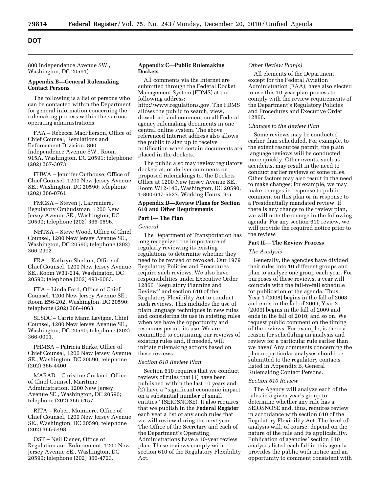800 Independence Avenue SW., Washington, DC 20591).

#### **Appendix B—General Rulemaking Contact Persons**

The following is a list of persons who can be contacted within the Department for general information concerning the rulemaking process within the various operating administrations.

FAA – Rebecca MacPherson, Office of Chief Counsel, Regulations and Enforcement Division, 800 Independence Avenue SW., Room 915A, Washington, DC 20591; telephone (202) 267-3073.

FHWA – Jennifer Outhouse, Office of Chief Counsel, 1200 New Jersey Avenue SE., Washington, DC 20590; telephone (202) 366-0761.

FMCSA – Steven J. LaFreniere, Regulatory Ombudsman, 1200 New Jersey Avenue SE., Washington, DC 20590; telephone (202) 366-0596.

NHTSA – Steve Wood, Office of Chief Counsel, 1200 New Jersey Avenue SE., Washington, DC 20590; telephone (202) 366-2992.

FRA – Kathryn Shelton, Office of Chief Counsel, 1200 New Jersey Avenue SE., Room W31-214, Washington, DC 20590; telephone (202) 493-6063.

FTA – Linda Ford, Office of Chief Counsel, 1200 New Jersey Avenue SE., Room E56-202, Washington, DC 20590; telephone (202) 366-4063.

SLSDC – Carrie Mann Lavigne, Chief Counsel, 1200 New Jersey Avenue SE., Washington, DC 20590; telephone (202) 366-0091.

PHMSA – Patricia Burke, Office of Chief Counsel, 1200 New Jersey Avenue SE., Washington, DC 20590; telephone (202) 366-4400.

MARAD – Christine Gurland, Office of Chief Counsel, Maritime Administration, 1200 New Jersey Avenue SE., Washington, DC 20590; telephone (202) 366-5157.

RITA – Robert Monniere, Office of Chief Counsel, 1200 New Jersey Avenue SE., Washington, DC 20590; telephone (202) 366-5498.

OST – Neil Eisner, Office of Regulation and Enforcement, 1200 New Jersey Avenue SE., Washington, DC 20590; telephone (202) 366-4723.

## **Appendix C—Public Rulemaking Dockets**

All comments via the Internet are submitted through the Federal Docket Management System (FDMS) at the following address: [http://www.regulations.gov.](http://www.regulations.gov) The FDMS allows the public to search, view, download, and comment on all Federal agency rulemaking documents in one central online system. The above referenced Internet address also allows the public to sign up to receive notification when certain documents are placed in the dockets.

The public also may review regulatory dockets at, or deliver comments on proposed rulemakings to, the Dockets Office at 1200 New Jersey Avenue SE., Room W12-140, Washington, DC 20590, 1-800-647-5527. Working Hours: 9-5.

## **Appendix D—Review Plans for Section 610 and Other Requirements**

## **Part I**— **The Plan**

#### *General*

The Department of Transportation has long recognized the importance of regularly reviewing its existing regulations to determine whether they need to be revised or revoked. Our 1979 Regulatory Policies and Procedures require such reviews. We also have responsibilities under Executive Order 12866 ''Regulatory Planning and Review'' and section 610 of the Regulatory Flexibility Act to conduct such reviews. This includes the use of plain language techniques in new rules and considering its use in existing rules when we have the opportunity and resources permit its use. We are committed to continuing our reviews of existing rules and, if needed, will initiate rulemaking actions based on these reviews.

#### *Section 610 Review Plan*

Section 610 requires that we conduct reviews of rules that (1) have been published within the last 10 years and (2) have a ''significant economic impact on a substantial number of small entities'' (SEIOSNOSE). It also requires that we publish in the **Federal Register**  each year a list of any such rules that we will review during the next year. The Office of the Secretary and each of the Department's Operating Administrations have a 10-year review plan. These reviews comply with section 610 of the Regulatory Flexibility Act.

#### *Other Review Plan(s)*

All elements of the Department, except for the Federal Aviation Administration (FAA), have also elected to use this 10-year plan process to comply with the review requirements of the Department's Regulatory Policies and Procedures and Executive Order 12866.

#### *Changes to the Review Plan*

Some reviews may be conducted earlier than scheduled. For example, to the extent resources permit, the plain language reviews will be conducted more quickly. Other events, such as accidents, may result in the need to conduct earlier reviews of some rules. Other factors may also result in the need to make changes; for example, we may make changes in response to public comment on this plan or in response to a Presidentially mandated review. If there is any change to the review plan, we will note the change in the following agenda. For any section 610 review, we will provide the required notice prior to the review.

#### **Part II**— **The Review Process**

#### *The Analysis*

Generally, the agencies have divided their rules into 10 different groups and plan to analyze one group each year. For purposes of these reviews, a year will coincide with the fall-to-fall schedule for publication of the agenda. Thus, Year 1 (2008) begins in the fall of 2008 and ends in the fall of 2009; Year 2 (2009) begins in the fall of 2009 and ends in the fall of 2010; and so on. We request public comment on the timing of the reviews. For example, is there a reason for scheduling an analysis and review for a particular rule earlier than we have? Any comments concerning the plan or particular analyses should be submitted to the regulatory contacts listed in Appendix B, General Rulemaking Contact Persons.

#### *Section 610 Review*

The Agency will analyze each of the rules in a given year's group to determine whether any rule has a SEIOSNOSE and, thus, requires review in accordance with section 610 of the Regulatory Flexibility Act. The level of analysis will, of course, depend on the nature of the rule and its applicability. Publication of agencies' section 610 analyses listed each fall in this agenda provides the public with notice and an opportunity to comment consistent with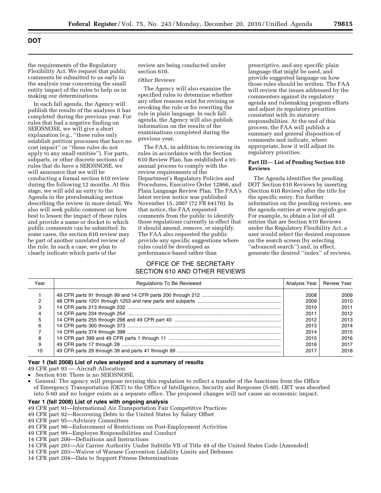the requirements of the Regulatory Flexibility Act. We request that public comments be submitted to us early in the analysis year concerning the small entity impact of the rules to help us in making our determinations.

In each fall agenda, the Agency will publish the results of the analyses it has completed during the previous year. For rules that had a negative finding on SEIOSNOSE, we will give a short explanation (e.g., ''these rules only establish petition processes that have no cost impact'' or ''these rules do not apply to any small entities''). For parts, subparts, or other discrete sections of rules that do have a SEIOSNOSE, we will announce that we will be conducting a formal section 610 review during the following 12 months. At this stage, we will add an entry to the Agenda in the prerulemaking section describing the review in more detail. We also will seek public comment on how best to lessen the impact of these rules and provide a name or docket to which public comments can be submitted. In some cases, the section 610 review may be part of another unrelated review of the rule. In such a case, we plan to clearly indicate which parts of the

review are being conducted under section 610.

#### *Other Reviews*

The Agency will also examine the specified rules to determine whether any other reasons exist for revising or revoking the rule or for rewriting the rule in plain language. In each fall agenda, the Agency will also publish information on the results of the examinations completed during the previous year.

The FAA, in addition to reviewing its rules in accordance with the Section 610 Review Plan, has established a triannual process to comply with the review requirements of the Department's Regulatory Policies and Procedures, Executive Order 12866, and Plain Language Review Plan. The FAA's latest review notice was published November 15, 2007 (72 FR 64170). In that notice, the FAA requested comments from the public to identify those regulations currently in effect that it should amend, remove, or simplify. The FAA also requested the public provide any specific suggestions where rules could be developed as performance-based rather than

## OFFICE OF THE SECRETARY SECTION 610 AND OTHER REVIEWS

prescriptive, and any specific plain language that might be used, and provide suggested language on how those rules should be written. The FAA will review the issues addressed by the commenters against its regulatory agenda and rulemaking program efforts and adjust its regulatory priorities consistent with its statutory responsibilities. At the end of this process, the FAA will publish a summary and general disposition of comments and indicate, where appropriate, how it will adjust its regulatory priorities.

## **Part III**— **List of Pending Section 610 Reviews**

The Agenda identifies the pending DOT Section 610 Reviews by inserting (Section 610 Review) after the title for the specific entry. For further information on the pending reviews, see the agenda entries at [www.reginfo.gov.](http://www.reginfo.gov)  For example, to obtain a list of all entries that are Section 610 Reviews under the Regulatory Flexibility Act, a user would select the desired responses on the search screen (by selecting ''advanced search'') and, in effect, generate the desired ''index'' of reviews.

| Year | <b>Regulations To Be Reviewed</b> | Analysis Year | <b>Review Year</b> |
|------|-----------------------------------|---------------|--------------------|
|      |                                   | 2008          | 2009               |
|      |                                   | 2009          | 2010               |
|      |                                   | 2010          | 2011               |
| 4    |                                   | 2011          | 2012               |
| 5    |                                   | 2012          | 2013               |
| 6    |                                   | 2013          | 2014               |
|      |                                   | 2014          | 2015               |
| 8    |                                   | 2015          | 2016               |
| 9    |                                   | 2016          | 2017               |
| 10   |                                   | 2017          | 2018               |

#### **Year 1 (fall 2008) List of rules analyzed and a summary of results**

49 CFR part 93 — Aircraft Allocation

- Section 610: There is no SEIOSNOSE.
- General: The agency will propose revising this regulation to reflect a transfer of the functions from the Office of Emergency Transportation (OET) to the Office of Intelligence, Security and Response (S-60). OET was absorbed into S-60 and no longer exists as a separate office. The proposed changes will not cause an economic impact.

#### **Year 1 (fall 2008) List of rules with ongoing analysis**

- 49 CFR part 91—International Air Transportation Fair Competitive Practices
- 49 CFR part 92—Recovering Debts to the United States by Salary Offset
- 49 CFR part 95—Advisory Committees
- 49 CFR part 98—Enforcement of Restrictions on Post-Employment Activities
- 49 CFR part 99—Employee Responsibilities and Conduct
- 14 CFR part 200—Definitions and Instructions
- 14 CFR part 201—Air Carrier Authority Under Subtitle VII of Title 49 of the United States Code [Amended]
- 14 CFR part 203—Waiver of Warsaw Convention Liability Limits and Defenses
- 14 CFR part 204—Data to Support Fitness Determinations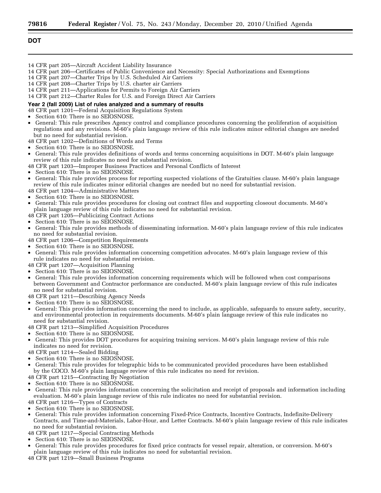| 14 CFR part 205—Aircraft Accident Liability Insurance                                                                    |
|--------------------------------------------------------------------------------------------------------------------------|
| 14 CFR part 206—Certificates of Public Convenience and Necessity: Special Authorizations and Exemptions                  |
| 14 CFR part 207-Charter Trips by U.S. Scheduled Air Carriers                                                             |
| 14 CFR part 208—Charter Trips by U.S. charter air Carriers                                                               |
| 14 CFR part 211—Applications for Permits to Foreign Air Carriers                                                         |
| 14 CFR part 212-Charter Rules for U.S. and Foreign Direct Air Carriers                                                   |
| Year 2 (fall 2009) List of rules analyzed and a summary of results                                                       |
| 48 CFR part 1201—Federal Acquisition Regulations System                                                                  |
| • Section 610: There is no SEIOSNOSE.                                                                                    |
| • General: This rule prescribes Agency control and compliance procedures concerning the proliferation of acquisition     |
| regulations and any revisions. M-60's plain language review of this rule indicates minor editorial changes are needed    |
| but no need for substantial revision.                                                                                    |
| 48 CFR part 1202—Definitions of Words and Terms                                                                          |
| • Section 610: There is no SEIOSNOSE.                                                                                    |
| • General: This rule provides definitions of words and terms concerning acquisitions in DOT. M-60's plain language       |
| review of this rule indicates no need for substantial revision.                                                          |
| 48 CFR part 1203—Improper Business Practices and Personal Conflicts of Interest                                          |
| • Section 610: There is no SEIOSNOSE.                                                                                    |
| • General: This rule provides process for reporting suspected violations of the Gratuities clause. M-60's plain language |
| review of this rule indicates minor editorial changes are needed but no need for substantial revision.                   |
| 48 CFR part 1204—Administrative Matters                                                                                  |
| • Section 610: There is no SEIOSNOSE.                                                                                    |

- General: This rule provides procedures for closing out contract files and supporting closeout documents. M-60's plain language review of this rule indicates no need for substantial revision.
- 48 CFR part 1205—Publicizing Contract Actions
- Section 610: There is no SEIOSNOSE.
- General: This rule provides methods of disseminating information. M-60's plain language review of this rule indicates no need for substantial revision.
- 48 CFR part 1206—Competition Requirements
- Section 610: There is no SEIOSNOSE.
- General: This rule provides information concerning competition advocates. M-60's plain language review of this rule indicates no need for substantial revision.
- 48 CFR part 1207—Acquisition Planning
- Section 610: There is no SEIOSNOSE.
- General: This rule provides information concerning requirements which will be followed when cost comparisons between Government and Contractor performance are conducted. M-60's plain language review of this rule indicates no need for substantial revision.
- 48 CFR part 1211—Describing Agency Needs
- Section 610: There is no SEIOSNOSE.
- General: This provides information concerning the need to include, as applicable, safeguards to ensure safety, security, and environmental protection in requirements documents. M-60's plain language review of this rule indicates no need for substantial revision.
- 48 CFR part 1213—Simplified Acquisition Procedures
- Section 610: There is no SEIOSNOSE.
- General: This provides DOT procedures for acquiring training services. M-60's plain language review of this rule indicates no need for revision.
- 48 CFR part 1214—Sealed Bidding
- Section 610: There is no SEIOSNOSE.
- General: This rule provides for telegraphic bids to be communicated provided procedures have been established by the COCO. M-60's plain language review of this rule indicates no need for revision.
- 48 CFR part 1215—Contracting By Negotiation
- Section 610: There is no SEIOSNOSE.
- General: This rule provides information concerning the solicitation and receipt of proposals and information including evaluation. M-60's plain language review of this rule indicates no need for substantial revision. 48 CFR part 1216—Types of Contracts
- Section 610: There is no SEIOSNOSE.
- General: This rule provides information concerning Fixed-Price Contracts, Incentive Contracts, Indefinite-Delivery Contracts, and Time-and-Materials, Labor-Hour, and Letter Contracts. M-60's plain language review of this rule indicates no need for substantial revision.
- 48 CFR part 1217—Special Contracting Methods
- Section 610: There is no SEIOSNOSE.
- General: This rule provides procedures for fixed price contracts for vessel repair, alteration, or conversion. M-60's plain language review of this rule indicates no need for substantial revision.
- 48 CFR part 1219—Small Business Programs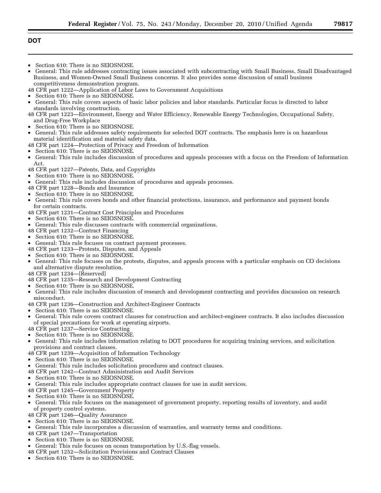- Section 610: There is no SEIOSNOSE.
- General: This rule addresses contracting issues associated with subcontracting with Small Business, Small Disadvantaged Business, and Women-Owned Small Business concerns. It also provides some discussion of small business competitiveness demonstration program.
- 48 CFR part 1222—Application of Labor Laws to Government Acquisitions
- Section 610: There is no SEIOSNOSE.
- General: This rule covers aspects of basic labor policies and labor standards. Particular focus is directed to labor standards involving construction.
- 48 CFR part 1223—Environment, Energy and Water Efficiency, Renewable Energy Technologies, Occupational Safety, and Drug-Free Workplace
- Section 610: There is no SEIOSNOSE.
- General: This rule addresses safety requirements for selected DOT contracts. The emphasis here is on hazardous material identification and material safety data.
- 48 CFR part 1224—Protection of Privacy and Freedom of Information
- Section 610: There is no SEIOSNOSE.
- General: This rule includes discussion of procedures and appeals processes with a focus on the Freedom of Information Act.
- 48 CFR part 1227—Patents, Data, and Copyrights
- Section 610: There is no SEIOSNOSE.
- General: This rule includes discussion of procedures and appeals processes.
- 48 CFR part 1228—Bonds and Insurance
- Section 610: There is no SEIOSNOSE.
- General: This rule covers bonds and other financial protections, insurance, and performance and payment bonds for certain contracts.
- 48 CFR part 1231—Contract Cost Principles and Procedures
- Section 610: There is no SEIOSNOSE.
- General: This rule discusses contracts with commercial organizations.
- 48 CFR part 1232—Contract Financing
- Section 610: There is no SEIOSNOSE.
- General: This rule focuses on contract payment processes.
- 48 CFR part 1233—Protests, Disputes, and Appeals
- Section 610: There is no SEIOSNOSE.
- General: This rule focuses on the protests, disputes, and appeals process with a particular emphasis on CO decisions and alternative dispute resolution.
- 48 CFR part 1234—[Reserved]
- 48 CFR part 1235—Research and Development Contracting
- Section 610: There is no SEIOSNOSE.
- General: This rule includes discussion of research and development contracting and provides discussion on research misconduct.
- 48 CFR part 1236—Construction and Architect-Engineer Contracts
- Section 610: There is no SEIOSNOSE.
- General: This rule covers contract clauses for construction and architect-engineer contracts. It also includes discussion of special precautions for work at operating airports.
- 48 CFR part 1237—Service Contracting
- Section 610: There is no SEIOSNOSE.
- General: This rule includes information relating to DOT procedures for acquiring training services, and solicitation provisions and contract clauses.
- 48 CFR part 1239—Acquisition of Information Technology
- Section 610: There is no SEIOSNOSE.
- General: This rule includes solicitation procedures and contract clauses.
- 48 CFR part 1242—Contract Administration and Audit Services
- Section 610: There is no SEIOSNOSE.
- General: This rule includes appropriate contract clauses for use in audit services.
- 48 CFR part 1245—Government Property
- Section 610: There is no SEIOSNOSE.
- General: This rule focuses on the management of government property, reporting results of inventory, and audit of property control systems.
- 48 CFR part 1246—Quality Assurance
- Section 610: There is no SEIOSNOSE.
- General: This rule incorporates a discussion of warranties, and warranty terms and conditions.
- 48 CFR part 1247—Transportation
- Section 610: There is no SEIOSNOSE.
- General: This rule focuses on ocean transportation by U.S.-flag vessels.
- 48 CFR part 1252—Solicitation Provisions and Contract Clauses
- Section 610: There is no SEIOSNOSE.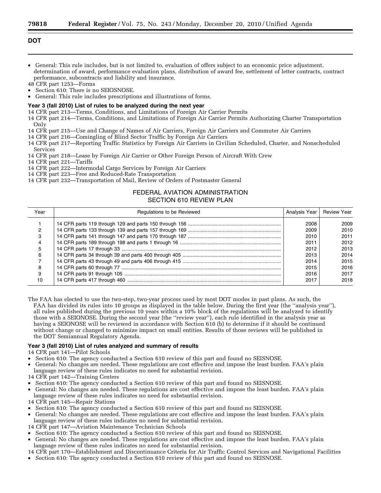- General: This rule includes, but is not limited to, evaluation of offers subject to an economic price adjustment, determination of award, performance evaluation plans, distribution of award fee, settlement of letter contracts, contract performance, subcontracts and liability and insurance.
- 48 CFR part 1253—Forms • Section 610: There is no SEIOSNOSE.
- General: This rule includes prescriptions and illustrations of forms.

## **Year 3 (fall 2010) List of rules to be analyzed during the next year**

14 CFR part 213—Terms, Conditions, and Limitations of Foreign Air Carrier Permits

- 14 CFR part 214—Terms, Conditions, and Limitations of Foreign Air Carrier Permits Authorizing Charter Transportation Only
- 14 CFR part 215—Use and Change of Names of Air Carriers, Foreign Air Carriers and Commuter Air Carriers
- 14 CFR part 216—Comingling of Blind Sector Traffic by Foreign Air Carriers
- 14 CFR part 217—Reporting Traffic Statistics by Foreign Air Carriers in Civilian Scheduled, Charter, and Nonscheduled Services
- 14 CFR part 218—Lease by Foreign Air Carrier or Other Foreign Person of Aircraft With Crew
- 14 CFR part 221—Tariffs
- 14 CFR part 222—Intermodal Cargo Services by Foreign Air Carriers
- 14 CFR part 223—Free and Reduced-Rate Transportation

14 CFR part 232—Transportation of Mail, Review of Orders of Postmaster General

## FEDERAL AVIATION ADMINISTRATION SECTION 610 REVIEW PLAN

| Year | Regulations to be Reviewed | Analysis Year | Review Year |
|------|----------------------------|---------------|-------------|
|      |                            | 2008          | 2009        |
|      |                            | 2009          | 2010        |
| з    |                            | 2010          | 2011        |
|      |                            | 2011          | 2012        |
| 5    |                            | 2012          | 2013        |
| 6    |                            | 2013          | 2014        |
|      |                            | 2014          | 2015        |
| 8    |                            | 2015          | 2016        |
|      |                            | 2016          | 2017        |
| 10   |                            | 2017          | 2018        |

The FAA has elected to use the two-step, two-year process used by most DOT modes in past plans. As such, the FAA has divided its rules into 10 groups as displayed in the table below. During the first year (the ''analysis year''), all rules published during the previous 10 years within a 10% block of the regulations will be analyzed to identify those with a SEIONOSE. During the second year (the ''review year''), each rule identified in the analysis year as having a SEIONOSE will be reviewed in accordance with Section 610 (b) to determine if it should be continued without change or changed to minimize impact on small entities. Results of those reviews will be published in the DOT Semiannual Regulatory Agenda.

#### **Year 3 (fall 2010) List of rules analyzed and summary of results**

14 CFR part 141—Pilot Schools

- Section 610: The agency conducted a Section 610 review of this part and found no SEISNOSE.
- General: No changes are needed. These regulations are cost effective and impose the least burden. FAA's plain language review of these rules indicates no need for substantial revision.
- 14 CFR part 142—Training Centers
- Section 610: The agency conducted a Section 610 review of this part and found no SEISNOSE.
- General: No changes are needed. These regulations are cost effective and impose the least burden. FAA's plain language review of these rules indicates no need for substantial revision.
- 14 CFR part 145—Repair Stations
- Section 610: The agency conducted a Section 610 review of this part and found no SEISNOSE.
- General: No changes are needed. These regulations are cost effective and impose the least burden. FAA's plain language review of these rules indicates no need for substantial revision.
- 14 CFR part 147—Aviation Maintenance Technician Schools
- Section 610: The agency conducted a Section 610 review of this part and found no SEISNOSE.
- General: No changes are needed. These regulations are cost effective and impose the least burden. FAA's plain language review of these rules indicates no need for substantial revision.
- 14 CFR part 170—Establishment and Discontinuance Criteria for Air Traffic Control Services and Navigational Facilities
- Section 610: The agency conducted a Section 610 review of this part and found no SEISNOSE.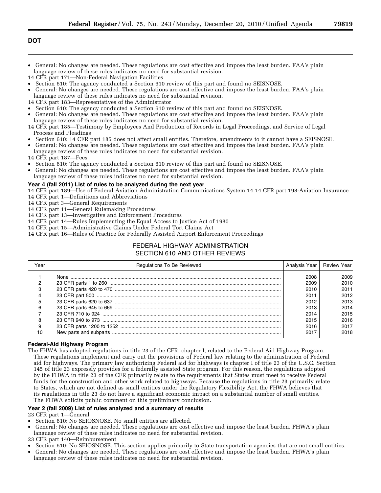- General: No changes are needed. These regulations are cost effective and impose the least burden. FAA's plain language review of these rules indicates no need for substantial revision.
- 14 CFR part 171—Non-Federal Navigation Facilities
- Section 610: The agency conducted a Section 610 review of this part and found no SEISNOSE.
- General: No changes are needed. These regulations are cost effective and impose the least burden. FAA's plain
- language review of these rules indicates no need for substantial revision.
- 14 CFR part 183—Representatives of the Administrator
- Section 610: The agency conducted a Section 610 review of this part and found no SEISNOSE.
- General: No changes are needed. These regulations are cost effective and impose the least burden. FAA's plain language review of these rules indicates no need for substantial revision.
- 14 CFR part 185—Testimony by Employees And Production of Records in Legal Proceedings, and Service of Legal Process and Pleadings
- Section 610: 14 CFR part 185 does not affect small entities. Therefore, amendments to it cannot have a SEISNOSE.
- General: No changes are needed. These regulations are cost effective and impose the least burden. FAA's plain language review of these rules indicates no need for substantial revision.
- 14 CFR part 187—Fees
- Section 610: The agency conducted a Section 610 review of this part and found no SEISNOSE.
- General: No changes are needed. These regulations are cost effective and impose the least burden. FAA's plain language review of these rules indicates no need for substantial revision.

## **Year 4 (fall 2011) List of rules to be analyzed during the next year**

- 14 CFR part 189—Use of Federal Aviation Administration Communications System 14 14 CFR part 198-Aviation Insurance
- 14 CFR part 1—Definitions and Abbreviations
- 14 CFR part 3—General Requirements
- 14 CFR part 11—General Rulemaking Procedures
- 14 CFR part 13—Investigative and Enforcement Procedures
- 14 CFR part 14—Rules Implementing the Equal Access to Justice Act of 1980
- 14 CFR part 15—Administrative Claims Under Federal Tort Claims Act
- 14 CFR part 16—Rules of Practice for Federally Assisted Airport Enforcement Proceedings

## FEDERAL HIGHWAY ADMINISTRATION SECTION 610 AND OTHER REVIEWS

| Year | <b>Regulations To Be Reviewed</b> | Analysis Year   Review Year |      |
|------|-----------------------------------|-----------------------------|------|
|      |                                   | 2008                        | 2009 |
|      |                                   | 2009                        | 2010 |
|      |                                   | 2010                        | 2011 |
|      |                                   | 2011                        | 2012 |
|      |                                   | 2012                        | 2013 |
|      |                                   | 2013                        | 2014 |
|      |                                   | 2014                        | 2015 |
|      |                                   | 2015                        | 2016 |
| 9    |                                   | 2016                        | 2017 |
| 10   |                                   | 2017                        | 2018 |

## **Federal-Aid Highway Program**

The FHWA has adopted regulations in title 23 of the CFR, chapter I, related to the Federal-Aid Highway Program. These regulations implement and carry out the provisions of Federal law relating to the administration of Federal aid for highways. The primary law authorizing Federal aid for highways is chapter I of title 23 of the U.S.C. Section 145 of title 23 expressly provides for a federally assisted State program. For this reason, the regulations adopted by the FHWA in title 23 of the CFR primarily relate to the requirements that States must meet to receive Federal funds for the construction and other work related to highways. Because the regulations in title 23 primarily relate to States, which are not defined as small entities under the Regulatory Flexibility Act, the FHWA believes that its regulations in title 23 do not have a significant economic impact on a substantial number of small entities. The FHWA solicits public comment on this preliminary conclusion.

## **Year 2 (fall 2009) List of rules analyzed and a summary of results**

23 CFR part 1—General

- Section 610: No SEIOSNOSE. No small entities are affected.
- General: No changes are needed. These regulations are cost effective and impose the least burden. FHWA's plain
- language review of these rules indicates no need for substantial revision.
- 23 CFR part 140—Reimbursement
- Section 610: No SEIOSNOSE. This section applies primarily to State transportation agencies that are not small entities.
- General: No changes are needed. These regulations are cost effective and impose the least burden. FHWA's plain language review of these rules indicates no need for substantial revision.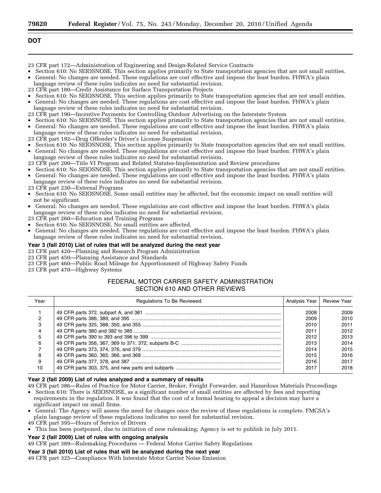- 23 CFR part 172—Administration of Engineering and Design-Related Service Contracts
- Section 610: No SEIOSNOSE. This section applies primarily to State transportation agencies that are not small entities.
- General: No changes are needed. These regulations are cost effective and impose the least burden. FHWA's plain language review of these rules indicates no need for substantial revision.
- 23 CFR part 180—Credit Assistance for Surface Transportation Projects
- Section 610: No SEIOSNOSE. This section applies primarily to State transportation agencies that are not small entities. • General: No changes are needed. These regulations are cost effective and impose the least burden. FHWA's plain

language review of these rules indicates no need for substantial revision.

- 23 CFR part 190—Incentive Payments for Controlling Outdoor Advertising on the Interstate System
- Section 610: No SEIOSNOSE. This section applies primarily to State transportation agencies that are not small entities.
- General: No changes are needed. These regulations are cost effective and impose the least burden. FHWA's plain
- language review of these rules indicates no need for substantial revision.
- 23 CFR part 192—Drug Offender's Driver's License Suspension
- Section 610: No SEIOSNOSE. This section applies primarily to State transportation agencies that are not small entities.
- General: No changes are needed. These regulations are cost effective and impose the least burden. FHWA's plain language review of these rules indicates no need for substantial revision.
- 23 CFR part 200—Title VI Program and Related Statutes-Implementation and Review procedures
- Section 610: No SEIOSNOSE. This section applies primarily to State transportation agencies that are not small entities. • General: No changes are needed. These regulations are cost effective and impose the least burden. FHWA's plain
- language review of these rules indicates no need for substantial revision.
- 23 CFR part 230—External Programs
- Section 610: No SEIOSNOSE. Some small entities may be affected, but the economic impact on small entities will not be significant.
- General: No changes are needed. These regulations are cost effective and impose the least burden. FHWA's plain language review of these rules indicates no need for substantial revision.
- 23 CFR part 260—Education and Training Programs
- Section 610: No SEIOSNOSE. No small entities are affected.
- General: No changes are needed. These regulations are cost effective and impose the least burden. FHWA's plain language review of these rules indicates no need for substantial revision.

## **Year 3 (fall 2010) List of rules that will be analyzed during the next year**

## 23 CFR part 420—Planning and Research Program Administration

- 23 CFR part 450—Planning Assistance and Standards
- 23 CFR part 460—Public Road Mileage for Apportionment of Highway Safety Funds
- 23 CFR part 470—Highway Systems

## FEDERAL MOTOR CARRIER SAFETY ADMINISTRATION SECTION 610 AND OTHER REVIEWS

| Year | Regulations To Be Reviewed | Analysis Year   Review Year |      |
|------|----------------------------|-----------------------------|------|
|      |                            | 2008                        | 2009 |
|      |                            | 2009                        | 2010 |
|      |                            | 2010                        | 2011 |
|      |                            | 2011                        | 2012 |
|      |                            | 2012                        | 2013 |
| 6    |                            | 2013                        | 2014 |
|      |                            | 2014                        | 2015 |
|      |                            | 2015                        | 2016 |
| 9    |                            | 2016                        | 2017 |
| 10   |                            | 2017                        | 2018 |

## **Year 2 (fall 2009) List of rules analyzed and a summary of results**

- 49 CFR part 386—Rules of Practice for Motor Carrier, Broker, Freight Forwarder, and Hazardous Materials Proceedings • Section 610: There is SEIOSNOSE, as a significant number of small entities are affected by fees and reporting requirements in the regulation. It was found that the cost of a formal hearing to appeal a decision may have a significant impact on small firms.
- General: The Agency will assess the need for changes once the review of these regulations is complete. FMCSA's plain language review of these regulations indicates no need for substantial revision.
- 49 CFR part 395—Hours of Service of Drivers
- This has been postponed, due to initiation of new rulemaking; Agency is set to publish in July 2011.

## **Year 2 (fall 2009) List of rules with ongoing analysis**

49 CFR part 389—Rulemaking Procedures — Federal Motor Carrier Safety Regulations

## **Year 3 (fall 2010) List of rules that will be analyzed during the next year**

49 CFR part 325—Compliance With Interstate Motor Carrier Noise Emission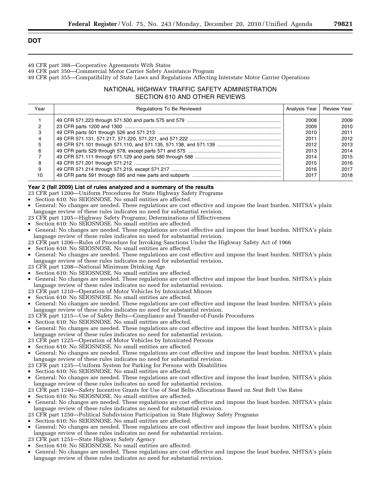- 49 CFR part 388—Cooperative Agreements With States
- 49 CFR part 350—Commercial Motor Carrier Safety Assistance Program
- 49 CFR part 355—Compatibility of State Laws and Regulations Affecting Interstate Motor Carrier Operations

## NATIONAL HIGHWAY TRAFFIC SAFETY ADMINISTRATION SECTION 610 AND OTHER REVIEWS

| Year | <b>Regulations To Be Reviewed</b> | Analysis Year   Review Year |      |
|------|-----------------------------------|-----------------------------|------|
|      |                                   | 2008                        | 2009 |
|      |                                   | 2009                        | 2010 |
| 3    |                                   | 2010                        | 2011 |
| 4    |                                   | 2011                        | 2012 |
| 5    |                                   | 2012                        | 2013 |
| 6    |                                   | 2013                        | 2014 |
|      |                                   | 2014                        | 2015 |
| 8    |                                   | 2015                        | 2016 |
| 9    |                                   | 2016                        | 2017 |
| 10   |                                   | 2017                        | 2018 |

## **Year 2 (fall 2009) List of rules analyzed and a summary of the results**

- 23 CFR part 1200—Uniform Procedures for State Highway Safety Programs
- Section 610: No SEIOSNOSE. No small entities are affected.
- General: No changes are needed. These regulations are cost effective and impose the least burden. NHTSA's plain language review of these rules indicates no need for substantial revision.
- 23 CFR part 1205—Highway Safety Programs; Determinations of Effectiveness
- Section 610: No SEIOSNOSE. No small entities are affected.
- General: No changes are needed. These regulations are cost effective and impose the least burden. NHTSA's plain language review of these rules indicates no need for substantial revision.
- 23 CFR part 1206—Rules of Procedure for Invoking Sanctions Under the Highway Safety Act of 1966
- Section 610: No SEIOSNOSE. No small entities are affected.
- General: No changes are needed. These regulations are cost effective and impose the least burden. NHTSA's plain language review of these rules indicates no need for substantial revision.
- 23 CFR part 1208—National Minimum Drinking Age
- Section 610: No SEIOSNOSE. No small entities are affected.
- General: No changes are needed. These regulations are cost effective and impose the least burden. NHTSA's plain language review of these rules indicates no need for substantial revision.
- 23 CFR part 1210—Operation of Motor Vehicles by Intoxicated Minors
- Section 610: No SEIOSNOSE. No small entities are affected.
- General: No changes are needed. These regulations are cost effective and impose the least burden. NHTSA's plain language review of these rules indicates no need for substantial revision.
- 23 CFR part 1215—Use of Safety Belts—Compliance and Transfer-of-Funds Procedures
- Section 610: No SEIOSNOSE. No small entities are affected.
- General: No changes are needed. These regulations are cost effective and impose the least burden. NHTSA's plain language review of these rules indicates no need for substantial revision.
- 23 CFR part 1225—Operation of Motor Vehicles by Intoxicated Persons
- Section 610: No SEIOSNOSE. No small entities are affected.
- General: No changes are needed. These regulations are cost effective and impose the least burden. NHTSA's plain language review of these rules indicates no need for substantial revision.
- 23 CFR part 1235—Uniform System for Parking for Persons with Disabilities
- Section 610: No SEIOSNOSE. No small entities are affected.
- General: No changes are needed. These regulations are cost effective and impose the least burden. NHTSA's plain language review of these rules indicates no need for substantial revision.

23 CFR part 1240—Safety Incentive Grants for Use of Seat Belts-Allocations Based on Seat Belt Use Rates

- Section 610: No SEIOSNOSE. No small entities are affected.
- General: No changes are needed. These regulations are cost effective and impose the least burden. NHTSA's plain language review of these rules indicates no need for substantial revision.
- 23 CFR part 1250—Political Subdivision Participation in State Highway Safety Programs
- Section 610: No SEIOSNOSE. No small entities are affected.
- General: No changes are needed. These regulations are cost effective and impose the least burden. NHTSA's plain language review of these rules indicates no need for substantial revision.
- 23 CFR part 1251—State Highway Safety Agency
- Section 610: No SEIOSNOSE. No small entities are affected.
- General: No changes are needed. These regulations are cost effective and impose the least burden. NHTSA's plain language review of these rules indicates no need for substantial revision.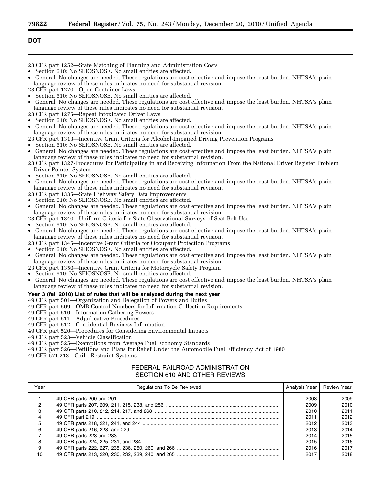- 23 CFR part 1252—State Matching of Planning and Administration Costs
- Section 610: No SEIOSNOSE. No small entities are affected.
- General: No changes are needed. These regulations are cost effective and impose the least burden. NHTSA's plain language review of these rules indicates no need for substantial revision.
- 23 CFR part 1270—Open Container Laws
- Section 610: No SEIOSNOSE. No small entities are affected.
- General: No changes are needed. These regulations are cost effective and impose the least burden. NHTSA's plain language review of these rules indicates no need for substantial revision.
- 23 CFR part 1275—Repeat Intoxicated Driver Laws
- Section 610: No SEIOSNOSE. No small entities are affected.
- General: No changes are needed. These regulations are cost effective and impose the least burden. NHTSA's plain language review of these rules indicates no need for substantial revision.
- 23 CFR part 1313—Incentive Grant Criteria for Alcohol-Impaired Driving Prevention Programs
- Section 610: No SEIOSNOSE. No small entities are affected.
- General: No changes are needed. These regulations are cost effective and impose the least burden. NHTSA's plain language review of these rules indicates no need for substantial revision.
- 23 CFR part 1327-Procedures for Participating in and Receiving Information From the National Driver Register Problem Driver Pointer System
- Section 610: No SEIOSNOSE. No small entities are affected.
- General: No changes are needed. These regulations are cost effective and impose the least burden. NHTSA's plain language review of these rules indicates no need for substantial revision.
- 23 CFR part 1335—State Highway Safety Data Improvements
- Section 610: No SEIOSNOSE. No small entities are affected.
- General: No changes are needed. These regulations are cost effective and impose the least burden. NHTSA's plain language review of these rules indicates no need for substantial revision.
- 23 CFR part 1340—Uniform Criteria for State Observational Surveys of Seat Belt Use
- Section 610: No SEIOSNOSE. No small entities are affected.
- General: No changes are needed. These regulations are cost effective and impose the least burden. NHTSA's plain language review of these rules indicates no need for substantial revision.
- 23 CFR part 1345—Incentive Grant Criteria for Occupant Protection Programs
- Section 610: No SEIOSNOSE. No small entities are affected.
- General: No changes are needed. These regulations are cost effective and impose the least burden. NHTSA's plain language review of these rules indicates no need for substantial revision.
- 23 CFR part 1350—Incentive Grant Criteria for Motorcycle Safety Program
- Section 610: No SEIOSNOSE. No small entities are affected.
- General: No changes are needed. These regulations are cost effective and impose the least burden. NHTSA's plain language review of these rules indicates no need for substantial revision.

#### **Year 3 (fall 2010) List of rules that will be analyzed during the next year**

49 CFR part 501—Organization and Delegation of Powers and Duties

- 49 CFR part 509—OMB Control Numbers for Information Collection Requirements
- 49 CFR part 510—Information Gathering Powers
- 49 CFR part 511—Adjudicative Procedures
- 49 CFR part 512—Confidential Business Information
- 49 CFR part 520—Procedures for Considering Environmental Impacts
- 49 CFR part 523—Vehicle Classification
- 49 CFR part 525—Exemptions from Average Fuel Economy Standards
- 49 CFR part 526—Petitions and Plans for Relief Under the Automobile Fuel Efficiency Act of 1980
- 49 CFR 571.213—Child Restraint Systems

## FEDERAL RAILROAD ADMINISTRATION SECTION 610 AND OTHER REVIEWS

| Year | Regulations To Be Reviewed | Analysis Year   Review Year |      |
|------|----------------------------|-----------------------------|------|
|      |                            | 2008                        | 2009 |
|      |                            | 2009                        | 2010 |
|      |                            | 2010                        | 2011 |
|      |                            | 2011                        | 2012 |
|      |                            | 2012                        | 2013 |
| 6    |                            | 2013                        | 2014 |
|      |                            | 2014                        | 2015 |
| 8    |                            | 2015                        | 2016 |
| 9    |                            | 2016                        | 2017 |
| 10   |                            | 2017                        | 2018 |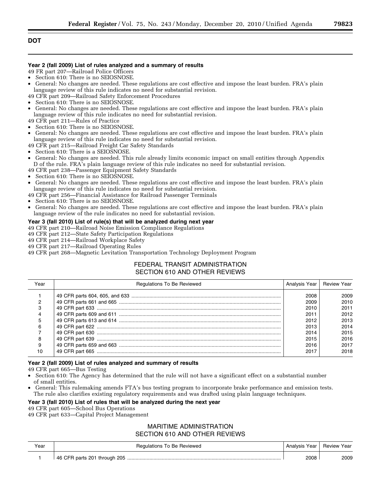## **Year 2 (fall 2009) List of rules analyzed and a summary of results**

49 FR part 207—Railroad Police Officers

- Section 610: There is no SEIOSNOSE.
- General: No changes are needed. These regulations are cost effective and impose the least burden. FRA's plain language review of this rule indicates no need for substantial revision.
- 49 CFR part 209—Railroad Safety Enforcement Procedures
- Section 610: There is no SEIOSNOSE.
- General: No changes are needed. These regulations are cost effective and impose the least burden. FRA's plain language review of this rule indicates no need for substantial revision.
- 49 CFR part 211—Rules of Practice
- Section 610: There is no SEIOSNOSE.
- General: No changes are needed. These regulations are cost effective and impose the least burden. FRA's plain language review of this rule indicates no need for substantial revision.
- 49 CFR part 215—Railroad Freight Car Safety Standards
- Section 610: There is a SEIOSNOSE.
- General: No changes are needed. This rule already limits economic impact on small entities through Appendix D of the rule. FRA's plain language review of this rule indicates no need for substantial revision.
- 49 CFR part 238—Passenger Equipment Safety Standards
- Section 610: There is no SEIOSNOSE.
- General: No changes are needed. These regulations are cost effective and impose the least burden. FRA's plain language review of this rule indicates no need for substantial revision.
- 49 CFR part 256—Financial Assistance for Railroad Passenger Terminals
- Section 610: There is no SEIOSNOSE.
- General: No changes are needed. These regulations are cost effective and impose the least burden. FRA's plain language review of the rule indicates no need for substantial revision.

## **Year 3 (fall 2010) List of rule(s) that will be analyzed during next year**

- 49 CFR part 210—Railroad Noise Emission Compliance Regulations
- 49 CFR part 212—State Safety Participation Regulations
- 49 CFR part 214—Railroad Workplace Safety
- 49 CFR part 217—Railroad Operating Rules
- 49 CFR part 268—Magnetic Levitation Transportation Technology Deployment Program

## FEDERAL TRANSIT ADMINISTRATION SECTION 610 AND OTHER REVIEWS

| Year | Regulations To Be Reviewed | Analysis Year | <b>Review Year</b> |
|------|----------------------------|---------------|--------------------|
|      |                            | 2008          | 2009               |
|      |                            | 2009          | 2010               |
|      |                            | 2010          | 2011               |
|      |                            | 2011          | 2012               |
|      |                            | 2012          | 2013               |
| h    |                            | 2013          | 2014               |
|      |                            | 2014          | 2015               |
|      |                            | 2015          | 2016               |
|      |                            | 2016          | 2017               |
| 10   |                            | 2017          | 2018               |

## **Year 2 (fall 2009) List of rules analyzed and summary of results**

49 CFR part 665—Bus Testing

- Section 610: The Agency has determined that the rule will not have a significant effect on a substantial number of small entities.
- General: This rulemaking amends FTA's bus testing program to incorporate brake performance and emission tests. The rule also clarifies existing regulatory requirements and was drafted using plain language techniques.

## **Year 3 (fall 2010) List of rules that will be analyzed during the next year**

49 CFR part 605—School Bus Operations

49 CFR part 633—Capital Project Management

## MARITIME ADMINISTRATION SECTION 610 AND OTHER REVIEWS

| Year | Regulations To Be Reviewed | Analysis Year   Review Year |      |
|------|----------------------------|-----------------------------|------|
|      |                            | 2008                        | 2009 |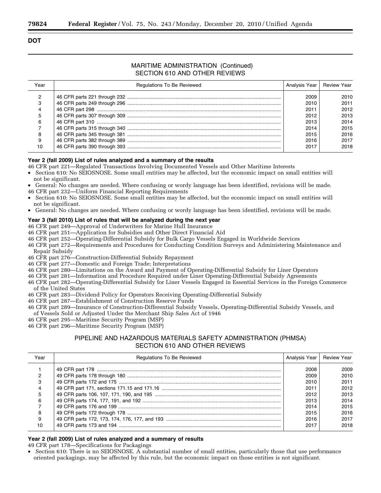## MARITIME ADMINISTRATION (Continued) SECTION 610 AND OTHER REVIEWS

| Year | <b>Regulations To Be Reviewed</b> | Analysis Year   Review Year |      |
|------|-----------------------------------|-----------------------------|------|
|      |                                   | 2009                        | 2010 |
| з    |                                   | 2010                        | 2011 |
|      |                                   | 2011                        | 2012 |
|      |                                   | 2012                        | 2013 |
| 6    |                                   | 2013                        | 2014 |
|      |                                   | 2014                        | 2015 |
| 8    |                                   | 2015                        | 2016 |
| 9    |                                   | 2016                        | 2017 |
| 10   |                                   | 2017                        | 2018 |

### **Year 2 (fall 2009) List of rules analyzed and a summary of the results**

46 CFR part 221—Regulated Transactions Involving Documented Vessels and Other Maritime Interests

- Section 610: No SEIOSNOSE. Some small entities may be affected, but the economic impact on small entities will not be significant.
- General: No changes are needed. Where confusing or wordy language has been identified, revisions will be made.
- 46 CFR part 232—Uniform Financial Reporting Requirements
- Section 610: No SEIOSNOSE. Some small entities may be affected, but the economic impact on small entities will not be significant.
- General: No changes are needed. Where confusing or wordy language has been identified, revisions will be made.

## **Year 3 (fall 2010) List of rules that will be analyzed during the next year**

46 CFR part 249—Approval of Underwriters for Marine Hull Insurance

- 46 CFR part 251—Application for Subsidies and Other Direct Financial Aid
- 46 CFR part 252—Operating-Differential Subsidy for Bulk Cargo Vessels Engaged in Worldwide Services
- 46 CFR part 272—Requirements and Procedures for Conducting Condition Surveys and Administering Maintenance and Repair Subsidy
- 46 CFR part 276—Construction-Differential Subsidy Repayment
- 46 CFR part 277—Domestic and Foreign Trade; Interpretations
- 46 CFR part 280—Limitations on the Award and Payment of Operating-Differential Subsidy for Liner Operators
- 46 CFR part 281—Information and Procedure Required under Liner Operating-Differential Subsidy Agreements
- 46 CFR part 282—Operating-Differential Subsidy for Liner Vessels Engaged in Essential Services in the Foreign Commerce of the United States
- 46 CFR part 283—Dividend Policy for Operators Receiving Operating-Differential Subsidy
- 46 CFR part 287—Establishment of Construction Reserve Funds
- 46 CFR part 289—Insurance of Construction-Differential Subsidy Vessels, Operating-Differential Subsidy Vessels, and of Vessels Sold or Adjusted Under the Merchant Ship Sales Act of 1946
- 46 CFR part 295—Maritime Security Program (MSP)
- 46 CFR part 296—Maritime Security Program (MSP)

## PIPELINE AND HAZARDOUS MATERIALS SAFETY ADMINISTRATION (PHMSA) SECTION 610 AND OTHER REVIEWS

| Year | <b>Regulations To Be Reviewed</b> | Analysis Year   Review Year |      |
|------|-----------------------------------|-----------------------------|------|
|      |                                   | 2008                        | 2009 |
|      |                                   | 2009                        | 2010 |
|      |                                   | 2010                        | 2011 |
|      |                                   | 2011                        | 2012 |
| 5    |                                   | 2012                        | 2013 |
| 6    |                                   | 2013                        | 2014 |
|      |                                   | 2014                        | 2015 |
| 8    |                                   | 2015                        | 2016 |
|      |                                   | 2016                        | 2017 |
| 10   |                                   | 2017                        | 2018 |

## **Year 2 (fall 2009) List of rules analyzed and a summary of results**

49 CFR part 178—Specifications for Packagings

• Section 610: There is no SEIOSNOSE. A substantial number of small entities, particularly those that use performance oriented packagings, may be affected by this rule, but the economic impact on those entities is not significant.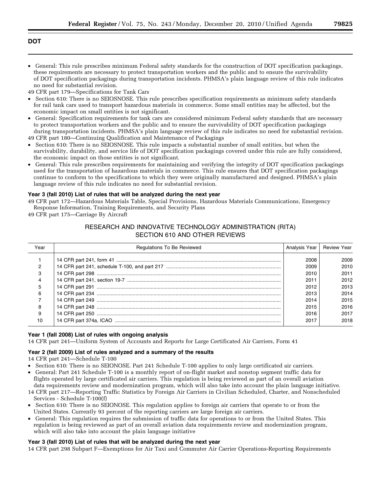• General: This rule prescribes minimum Federal safety standards for the construction of DOT specification packagings, these requirements are necessary to protect transportation workers and the public and to ensure the survivability of DOT specification packagings during transportation incidents. PHMSA's plain language review of this rule indicates no need for substantial revision.

49 CFR part 179—Specifications for Tank Cars

- Section 610: There is no SEIOSNOSE. This rule prescribes specification requirements as minimum safety standards for rail tank cars used to transport hazardous materials in commerce. Some small entities may be affected, but the economic impact on small entities is not significant.
- General: Specification requirements for tank cars are considered minimum Federal safety standards that are necessary to protect transportation workers and the public and to ensure the survivability of DOT specification packagings during transportation incidents. PHMSA's plain language review of this rule indicates no need for substantial revision.

49 CFR part 180—Continuing Qualification and Maintenance of Packagings

- Section 610: There is no SEIOSNOSE. This rule impacts a substantial number of small entities, but when the survivability, durability, and service life of DOT specification packagings covered under this rule are fully considered, the economic impact on those entities is not significant.
- General: This rule prescribes requirements for maintaining and verifying the integrity of DOT specification packagings used for the transportation of hazardous materials in commerce. This rule ensures that DOT specification packagings continue to conform to the specifications to which they were originally manufactured and designed. PHMSA's plain language review of this rule indicates no need for substantial revision.

## **Year 3 (fall 2010) List of rules that will be analyzed during the next year**

49 CFR part 172—Hazardous Materials Table, Special Provisions, Hazardous Materials Communications, Emergency Response Information, Training Requirements, and Security Plans

49 CFR part 175—Carriage By Aircraft

## RESEARCH AND INNOVATIVE TECHNOLOGY ADMINISTRATION (RITA) SECTION 610 AND OTHER REVIEWS

| Year | <b>Regulations To Be Reviewed</b> | Analysis Year | <b>Review Year</b> |
|------|-----------------------------------|---------------|--------------------|
|      |                                   | 2008          | 2009               |
|      |                                   | 2009          | 2010               |
|      |                                   | 2010          | 2011               |
|      |                                   | 2011          | 2012               |
| 5    |                                   | 2012          | 2013               |
| 6    |                                   | 2013          | 2014               |
|      |                                   | 2014          | 2015               |
| я    |                                   | 2015          | 2016               |
| 9    |                                   | 2016          | 2017               |
| 10   |                                   | 2017          | 2018               |

## **Year 1 (fall 2008) List of rules with ongoing analysis**

14 CFR part 241—Uniform System of Accounts and Reports for Large Certificated Air Carriers, Form 41

## **Year 2 (fall 2009) List of rules analyzed and a summary of the results**

14 CFR part 241—Schedule T-100

- Section 610: There is no SEIONOSE. Part 241 Schedule T-100 applies to only large certificated air carriers.
- General: Part 241 Schedule T-100 is a monthly report of on-flight market and nonstop segment traffic data for flights operated by large certificated air carriers. This regulation is being reviewed as part of an overall aviation data requirements review and modernization program, which will also take into account the plain language initiative.
- 14 CFR part 217—Reporting Traffic Statistics by Foreign Air Carriers in Civilian Scheduled, Charter, and Nonscheduled Services - Schedule T-100(f)
- Section 610: There is no SEIONOSE. This regulation applies to foreign air carriers that operate to or from the United States. Currently 93 percent of the reporting carriers are large foreign air carriers.
- General: This regulation requires the submission of traffic data for operations to or from the United States. This regulation is being reviewed as part of an overall aviation data requirements review and modernization program, which will also take into account the plain language initiative

## **Year 3 (fall 2010) List of rules that will be analyzed during the next year**

14 CFR part 298 Subpart F—Exemptions for Air Taxi and Commuter Air Carrier Operations-Reporting Requirements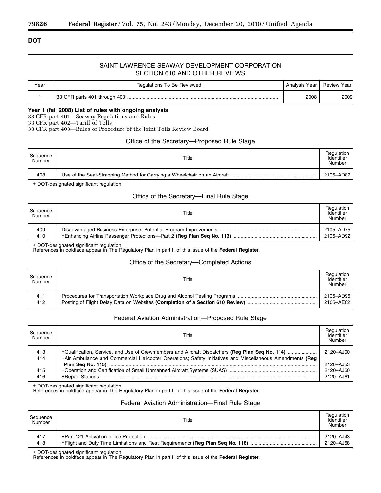## SAINT LAWRENCE SEAWAY DEVELOPMENT CORPORATION SECTION 610 AND OTHER REVIEWS

| Year | Regulations To Be Reviewed | Analysis Year   Review Year |      |
|------|----------------------------|-----------------------------|------|
|      |                            | 2008                        | 2009 |

### **Year 1 (fall 2008) List of rules with ongoing analysis**

33 CFR part 401—Seaway Regulations and Rules

33 CFR part 402—Tariff of Tolls

33 CFR part 403—Rules of Procedure of the Joint Tolls Review Board

## Office of the Secretary—Proposed Rule Stage

| Sequence<br>Number | Title | Regulation<br>Identifier<br>Number |
|--------------------|-------|------------------------------------|
| 408                |       | 2105-AD87                          |

+ DOT-designated significant regulation

## Office of the Secretary—Final Rule Stage

| Sequence<br>Number | Title | Regulation<br>Identifier<br>Number |
|--------------------|-------|------------------------------------|
| 409                |       | 2105-AD75                          |
| 410                |       | 2105-AD92                          |

+ DOT-designated significant regulation

References in boldface appear in The Regulatory Plan in part II of this issue of the **Federal Register**.

## Office of the Secretary—Completed Actions

| Sequence<br>Number | Title | Regulation<br>Identifier<br>Number |
|--------------------|-------|------------------------------------|
| 411                |       | 2105-AD95                          |
| 412                |       | 2105-AE02                          |

## Federal Aviation Administration—Proposed Rule Stage

| Sequence<br>Number | Title                                                                                                     | Regulation<br>Identifier<br>Number |
|--------------------|-----------------------------------------------------------------------------------------------------------|------------------------------------|
| 413                | +Qualification, Service, and Use of Crewmembers and Aircraft Dispatchers (Reg Plan Seq No. 114)           | 2120-AJ00                          |
| 414                | +Air Ambulance and Commercial Helicopter Operations; Safety Initiatives and Miscellaneous Amendments (Req | 2120-AJ53                          |
| 415                |                                                                                                           | 2120-AJ60                          |
| 416                |                                                                                                           | 2120-AJ61                          |

+ DOT-designated significant regulation

References in boldface appear in The Regulatory Plan in part II of this issue of the **Federal Register**.

## Federal Aviation Administration—Final Rule Stage

| Sequence<br>Number | Title | Regulation<br>Identifier<br>Number |
|--------------------|-------|------------------------------------|
| 417                |       | 2120-AJ43                          |
| 418                |       | 2120-AJ58                          |

+ DOT-designated significant regulation

References in boldface appear in The Regulatory Plan in part II of this issue of the **Federal Register**.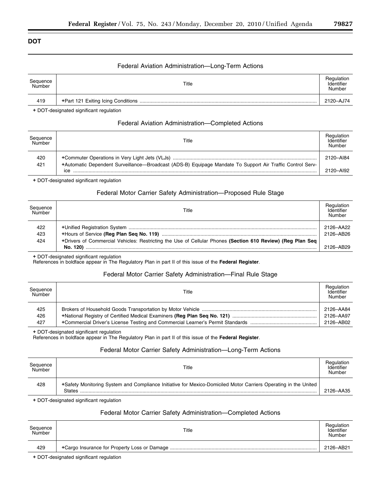## Federal Aviation Administration—Long-Term Actions

| Sequence<br>Number | Title | Regulation<br>Identifier<br>Number |
|--------------------|-------|------------------------------------|
| 419                | .     | 2120-AJ74                          |

+ DOT-designated significant regulation

## Federal Aviation Administration—Completed Actions

| Sequence<br>Number | Title                                                                                                            | Regulation<br>Identifier<br>Number |
|--------------------|------------------------------------------------------------------------------------------------------------------|------------------------------------|
| 420                |                                                                                                                  | 2120-AI84                          |
| 421                | +Automatic Dependent Surveillance-Broadcast (ADS-B) Equipage Mandate To Support Air Traffic Control Serv-<br>ICe | 2120-AI92                          |

+ DOT-designated significant regulation

## Federal Motor Carrier Safety Administration—Proposed Rule Stage

| Sequence<br>Number | Title                                                                                                      | Regulation<br>Identifier<br>Number |
|--------------------|------------------------------------------------------------------------------------------------------------|------------------------------------|
| 422                |                                                                                                            | 2126-AA22                          |
| 423                |                                                                                                            | 2126-AB26                          |
| 424                | +Drivers of Commercial Vehicles: Restricting the Use of Cellular Phones (Section 610 Review) (Reg Plan Seg |                                    |
|                    |                                                                                                            | 2126-AB29                          |

+ DOT-designated significant regulation

References in boldface appear in The Regulatory Plan in part II of this issue of the **Federal Register**.

## Federal Motor Carrier Safety Administration—Final Rule Stage

| Sequence<br>Number | Title | Regulation<br>Identifier<br>Number |
|--------------------|-------|------------------------------------|
| 425                |       | 2126-AA84                          |
| 426                |       | 2126-AA97                          |
| 427                |       | 2126-AB02                          |

+ DOT-designated significant regulation

References in boldface appear in The Regulatory Plan in part II of this issue of the **Federal Register**.

## Federal Motor Carrier Safety Administration—Long-Term Actions

| Sequence<br>Number | Title                                                                                                                     | Regulation<br>Identifier<br>Number |
|--------------------|---------------------------------------------------------------------------------------------------------------------------|------------------------------------|
| 428                | +Safety Monitoring System and Compliance Initiative for Mexico-Domiciled Motor Carriers Operating in the United<br>States | 2126-AA35                          |

+ DOT-designated significant regulation

## Federal Motor Carrier Safety Administration—Completed Actions

| Sequence<br>Number | Title | Regulation<br>Identifier<br>Number |
|--------------------|-------|------------------------------------|
| 429                |       | 2126-AB21                          |
|                    |       |                                    |

+ DOT-designated significant regulation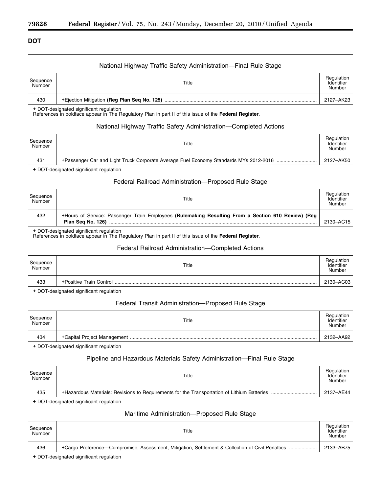## National Highway Traffic Safety Administration—Final Rule Stage

| Sequence<br>Number | Title                                       | Regulation<br>Identifier<br>Number |
|--------------------|---------------------------------------------|------------------------------------|
| 430                | +Ejection Mitigation (Reg Plan Seq No. 125) |                                    |

+ DOT-designated significant regulation

References in boldface appear in The Regulatory Plan in part II of this issue of the **Federal Register**.

## National Highway Traffic Safety Administration—Completed Actions

| Sequence<br>Number | Title | Regulation<br>Identifier<br>Number |
|--------------------|-------|------------------------------------|
| 431                |       |                                    |

+ DOT-designated significant regulation

## Federal Railroad Administration—Proposed Rule Stage

| Sequence<br>Number | Title                                                                                                                   | Regulation<br>Identifier<br>Number |
|--------------------|-------------------------------------------------------------------------------------------------------------------------|------------------------------------|
| 432                | +Hours of Service: Passenger Train Employees (Rulemaking Resulting From a Section 610 Review) (Reg<br>Plan Seg No. 126) | 2130-AC15                          |

+ DOT-designated significant regulation

References in boldface appear in The Regulatory Plan in part II of this issue of the **Federal Register**.

## Federal Railroad Administration—Completed Actions

| Sequence<br>Number | Title                   | Regulation<br>Identifier<br>Number |
|--------------------|-------------------------|------------------------------------|
| 433                | +Positive Train Control | 2130-AC03                          |

+ DOT-designated significant regulation

## Federal Transit Administration—Proposed Rule Stage

| Sequence<br>Number | Title | Regulation<br>Identifier<br>Number |
|--------------------|-------|------------------------------------|
| 434                |       | 2132-AA92                          |

+ DOT-designated significant regulation

## Pipeline and Hazardous Materials Safety Administration—Final Rule Stage

| Sequence<br>Number | Title | Regulation<br>Identifier<br>Number |
|--------------------|-------|------------------------------------|
| 435                |       | 2137-AE44                          |

+ DOT-designated significant regulation

## Maritime Administration—Proposed Rule Stage

| Sequence<br>Number | Title  | Regulation<br>Identifier<br>Number |
|--------------------|--------|------------------------------------|
| 436                |        | 2133-AB75                          |
|                    | ______ |                                    |

+ DOT-designated significant regulation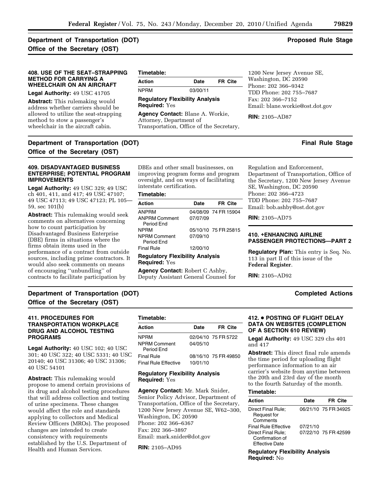## **Department of Transportation (DOT)** And the stage of the stage of the Stage of the Stage of the Stage of the Stage of the Stage of the Stage of the Stage of the Stage of the Stage of the Stage of the Stage of the Stage of **Office of the Secretary (OST)**

## **408. USE OF THE SEAT–STRAPPING METHOD FOR CARRYING A WHEELCHAIR ON AN AIRCRAFT**

**Legal Authority:** 49 USC 41705

**Abstract:** This rulemaking would address whether carriers should be allowed to utilize the seat-strapping method to stow a passenger's wheelchair in the aircraft cabin.

**Office of the Secretary (OST)** 

## **Timetable:**

**Action Date FR Cite**  NPRM 03/00/11

### **Regulatory Flexibility Analysis Required:** Yes

**Agency Contact:** Blane A. Workie, Attorney, Department of Transportation, Office of the Secretary,

1200 New Jersey Avenue SE, Washington, DC 20590 Phone: 202 366–9342 TDD Phone: 202 755–7687 Fax: 202 366–7152 Email: [blane.workie@ost.dot.gov](mailto:blane.workie@ost.dot.gov) 

**RIN:** 2105–AD87

## **Department of Transportation (DOT)** And the stage of the stage and the stage of the stage of the stage of the stage of the stage of the stage of the stage of the stage of the stage of the stage of the stage of the stage o

## **409. DISADVANTAGED BUSINESS ENTERPRISE; POTENTIAL PROGRAM IMPROVEMENTS**

**Legal Authority:** 49 USC 329; 49 USC ch 401, 411, and 417; 49 USC 47107; 49 USC 47113; 49 USC 47123; PL 105— 59, sec 101(b)

**Abstract:** This rulemaking would seek comments on alternatives concerning how to count participation by Disadvantaged Business Enterprise (DBE) firms in situations where the firms obtain items used in the performance of a contract from outside sources, including prime contractors. It would also seek comments on means of encouraging ''unbundling'' of contracts to facilitate participation by

DBEs and other small businesses, on improving program forms and program oversight, and on ways of facilitating interstate certification.

## **Timetable:**

| <b>Action</b>                          | <b>Date</b> | FR Cite              |  |
|----------------------------------------|-------------|----------------------|--|
| <b>ANPRM</b>                           |             | 04/08/09 74 FR 15904 |  |
| <b>ANPRM Comment</b><br>Period Fnd     | 07/07/09    |                      |  |
| <b>NPRM</b>                            |             | 05/10/10 75 FR 25815 |  |
| <b>NPRM Comment</b><br>Period End      | 07/09/10    |                      |  |
| <b>Final Rule</b>                      | 12/00/10    |                      |  |
| <b>Regulatory Flexibility Analysis</b> |             |                      |  |

**Required:** Yes

**Agency Contact:** Robert C Ashby, Deputy Assistant General Counsel for

Regulation and Enforcement, Department of Transportation, Office of the Secretary, 1200 New Jersey Avenue SE, Washington, DC 20590 Phone: 202 366–4723 TDD Phone: 202 755–7687 Emai[l: bob.ashby@ost.dot.gov](mailto:bob.ashby@ost.dot.gov) 

**RIN:** 2105–AD75

## **410. <b>+ENHANCING AIRLINE PASSENGER PROTECTIONS—PART 2**

**Regulatory Plan:** This entry is Seq. No. 113 in part II of this issue of the **Federal Register**.

**RIN:** 2105–AD92

## **Department of Transportation (DOT)** Completed Actions **Completed Actions Office of the Secretary (OST)**

## **411. PROCEDURES FOR TRANSPORTATION WORKPLACE DRUG AND ALCOHOL TESTING PROGRAMS**

Legal Authority: 40 USC 102; 40 USC 301; 40 USC 322; 40 USC 5331; 40 USC 20140; 40 USC 31306; 40 USC 31306; 40 USC 54101

**Abstract:** This rulemaking would propose to amend certain provisions of its drug and alcohol testing procedures that will address collection and testing of urine specimens. These changes would affect the role and standards applying to collectors and Medical Review Officers (MROs). The proposed changes are intended to create consistency with requirements established by the U.S. Department of Health and Human Services.

| Timetable:                        |          |                      |
|-----------------------------------|----------|----------------------|
| Action                            | Date     | <b>FR Cite</b>       |
| <b>NPRM</b>                       |          | 02/04/10 75 FR 5722  |
| <b>NPRM Comment</b><br>Period Fnd | 04/05/10 |                      |
| Final Rule                        |          | 08/16/10 75 FR 49850 |
| <b>Final Rule Effective</b>       | 10/01/10 |                      |

## **Regulatory Flexibility Analysis Required:** Yes

**Agency Contact:** Mr. Mark Snider, Senior Policy Advisor, Department of Transportation, Office of the Secretary, 1200 New Jersey Avenue SE, W62–300, Washington, DC 20590 Phone: 202 366–6367 Fax: 202 366–3897 Emai[l: mark.snider@dot.gov](mailto:mark.snider@dot.gov) 

**RIN:** 2105–AD95

## **412. ● POSTING OF FLIGHT DELAY DATA ON WEBSITES (COMPLETION OF A SECTION 610 REVIEW)**

**Legal Authority:** 49 USC 329 chs 401 and 417

**Abstract:** This direct final rule amends the time period for uploading flight performance information to an air carrier's website from anytime between the 20th and 23rd day of the month to the fourth Saturday of the month.

#### **Timetable:**

| Action                                                         | Date     | <b>FR Cite</b>       |
|----------------------------------------------------------------|----------|----------------------|
| Direct Final Rule;<br>Request for<br>Comments                  |          | 06/21/10 75 FR 34925 |
| Final Rule Effective                                           | 07/21/10 |                      |
| Direct Final Rule;<br>Confirmation of<br><b>Effective Date</b> |          | 07/22/10 75 FR 42599 |

**Regulatory Flexibility Analysis Required:** No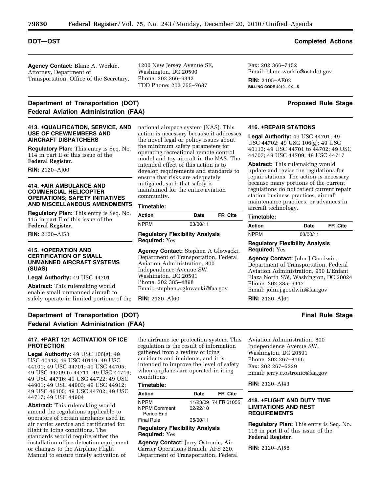**Agency Contact:** Blane A. Workie, Attorney, Department of Transportation, Office of the Secretary,

## **Department of Transportation (DOT)** Department of Transportation (DOT) **Federal Aviation Administration (FAA)**

#### **413. <b>+QUALIFICATION, SERVICE, AND USE OF CREWMEMBERS AND AIRCRAFT DISPATCHERS**

**Regulatory Plan:** This entry is Seq. No. 114 in part II of this issue of the **Federal Register**.

**RIN:** 2120–AJ00

## **414. +AIR AMBULANCE AND COMMERCIAL HELICOPTER OPERATIONS; SAFETY INITIATIVES AND MISCELLANEOUS AMENDMENTS**

**Regulatory Plan:** This entry is Seq. No. 115 in part II of this issue of the **Federal Register**.

**RIN:** 2120–AJ53

**PROTECTION** 

## **415. +OPERATION AND CERTIFICATION OF SMALL UNMANNED AIRCRAFT SYSTEMS (SUAS)**

**Legal Authority:** 49 USC 44701

**Abstract:** This rulemaking would enable small unmanned aircraft to safely operate in limited portions of the 1200 New Jersey Avenue SE, Washington, DC 20590 Phone: 202 366–9342 TDD Phone: 202 755–7687

national airspace system (NAS). This action is necessary because it addresses the novel legal or policy issues about the minimum safety parameters for operating recreational remote control model and toy aircraft in the NAS. The intended effect of this action is to develop requirements and standards to ensure that risks are adequately mitigated, such that safety is maintained for the entire aviation

**Action Date FR Cite** 

**Agency Contact:** Stephen A Glowacki, Department of Transportation, Federal

NPRM 03/00/11

**Regulatory Flexibility Analysis** 

Aviation Administration, 800 Independence Avenue SW, Washington, DC 20591 Phone: 202 385–4898

Email: [stephen.a.glowacki@faa.gov](mailto:stephen.a.glowacki@faa.gov) 

# **BILLING CODE 4910—9X—S**

## **416. <b>+REPAIR STATIONS**

Fax: 202 366–7152

**RIN:** 2105–AE02

Email[: blane.workie@ost.dot.gov](mailto:blane.workie@ost.dot.gov) 

**Legal Authority:** 49 USC 44701; 49 USC 44702; 49 USC 106(g); 49 USC 40113; 49 USC 44701 to 44702; 49 USC 44707; 49 USC 44709; 49 USC 44717

**Abstract:** This rulemaking would update and revise the regulations for repair stations. The action is necessary because many portions of the current regulations do not reflect current repair station business practices, aircraft maintenance practices, or advances in aircraft technology.

#### **Timetable:**

| Action | Date     | FR Cite |  |
|--------|----------|---------|--|
| NPRM   | 03/00/11 |         |  |

## **Regulatory Flexibility Analysis Required:** Yes

**Agency Contact:** John J Goodwin, Department of Transportation, Federal Aviation Administration, 950 L'Enfant Plaza North SW, Washington, DC 20024 Phone: 202 385–6417 Email: [john.j.goodwin@faa.gov](mailto:john.j.goodwin@faa.gov) 

**RIN:** 2120–AJ61

## **Department of Transportation (DOT)** And the stage of the stage of the stage of the stage of the stage of the stage of the stage of the stage of the stage of the stage of the stage of the stage of the stage of the stage of

## **417. <b>+PART 121 ACTIVATION OF ICE**

**Federal Aviation Administration (FAA)** 

**Legal Authority:** 49 USC 106(g); 49 USC 40113; 49 USC 40119; 49 USC 44101; 49 USC 44701; 49 USC 44705; 49 USC 44709 to 44711; 49 USC 44713; 49 USC 44716; 49 USC 44722; 49 USC 44901; 49 USC 44903; 49 USC 44912; 49 USC 46105; 49 USC 44702; 49 USC 44717; 49 USC 44904

**Abstract:** This rulemaking would amend the regulations applicable to operators of certain airplanes used in air carrier service and certificated for flight in icing conditions. The standards would require either the installation of ice detection equipment or changes to the Airplane Flight Manual to ensure timely activation of

the airframe ice protection system. This regulation is the result of information gathered from a review of icing accidents and incidents, and it is intended to improve the level of safety when airplanes are operated in icing conditions.

## **Timetable:**

community. **Timetable:** 

**Required:** Yes

**RIN:** 2120–AJ60

| Action                            | Date     | FR Cite              |
|-----------------------------------|----------|----------------------|
| <b>NPRM</b>                       |          | 11/23/09 74 FR 61055 |
| <b>NPRM Comment</b><br>Period Fnd | 02/22/10 |                      |
| <b>Final Rule</b>                 | 05/00/11 |                      |

**Regulatory Flexibility Analysis Required:** Yes

**Agency Contact:** Jerry Ostronic, Air Carrier Operations Branch, AFS 220, Department of Transportation, Federal Aviation Administration, 800 Independence Avenue SW, Washington, DC 20591 Phone: 202 267–8166 Fax: 202 267–5229 Email[: jerry.c.ostronic@faa.gov](mailto:jerry.c.ostronic@faa.gov) 

**RIN:** 2120–AJ43

## **418. +FLIGHT AND DUTY TIME LIMITATIONS AND REST REQUIREMENTS**

**Regulatory Plan:** This entry is Seq. No. 116 in part II of this issue of the **Federal Register**.

**RIN:** 2120–AJ58

## **DOT—OST Completed Actions**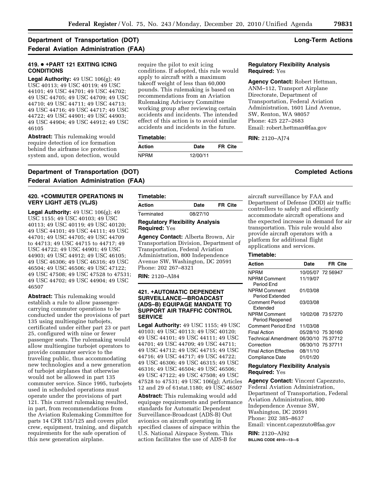## **Department of Transportation (DOT) Long-Term Actions Federal Aviation Administration (FAA)**

## **419. ● +PART 121 EXITING ICING CONDITIONS**

**Legal Authority:** 49 USC 106(g); 49 USC 40113; 49 USC 40119; 49 USC 44101; 49 USC 44701; 49 USC 44702; 49 USC 44705; 49 USC 44709; 49 USC 44710; 49 USC 44711; 49 USC 44713; 49 USC 44716; 49 USC 44717; 49 USC 44722; 49 USC 44901; 49 USC 44903; 49 USC 44904; 49 USC 44912; 49 USC 46105

**Abstract:** This rulemaking would require detection of ice formation behind the airframe ice protection system and, upon detection, would

require the pilot to exit icing conditions. If adopted, this rule would apply to aircraft with a maximum takeoff weight of less than 60,000 pounds. This rulemaking is based on recommendations from an Aviation Rulemaking Advisory Committee working group after reviewing certain accidents and incidents. The intended effect of this action is to avoid similar accidents and incidents in the future.

## **Timetable:**

| Action      | Date     | FR Cite |
|-------------|----------|---------|
| <b>NPRM</b> | 12/00/11 |         |

## **Regulatory Flexibility Analysis Required:** Yes

**Agency Contact:** Robert Hettman, ANM–112, Transport Airplane Directorate, Department of Transportation, Federal Aviation Administration, 1601 Lind Avenue, SW, Renton, WA 98057 Phone: 425 227–2683 Email: [robert.hettman@faa.gov](mailto:robert.hettman@faa.gov) 

**RIN:** 2120–AJ74

## **Department of Transportation (DOT)** Completed Actions **Completed Actions Federal Aviation Administration (FAA)**

### **420. + COMMUTER OPERATIONS IN VERY LIGHT JETS (VLJS)**

**Legal Authority:** 49 USC 106(g); 49 USC 1155; 49 USC 40103; 49 USC 40113; 49 USC 40119; 49 USC 40120; 49 USC 44101; 49 USC 44111; 49 USC 44701; 49 USC 44705; 49 USC 44709 to 44713; 49 USC 44715 to 44717; 49 USC 44722; 49 USC 44901; 49 USC 44903; 49 USC 44912; 49 USC 46105; 49 USC 46306; 49 USC 46316; 49 USC 46504; 49 USC 46506; 49 USC 47122; 49 USC 47508; 49 USC 47528 to 47531; 49 USC 44702; 49 USC 44904; 49 USC 46507

**Abstract:** This rulemaking would establish a rule to allow passengercarrying commuter operations to be conducted under the provisions of part 135 using multiengine turbojets, certificated under either part 23 or part 25, configured with nine or fewer passenger seats. The rulemaking would allow multiengine turbojet operators to provide commuter service to the traveling public, thus accommodating new technologies and a new generation of turbojet airplanes that otherwise would not be allowed in part 135 commuter service. Since 1995, turbojets used in scheduled operations must operate under the provisions of part 121. This current rulemaking resulted, in part, from recommendations from the Aviation Rulemaking Committee for parts 14 CFR 135/125 and covers pilot crew, equipment, training, and dispatch requirements for the safe operation of this new generation airplane.

| Timetable:    |          |         |
|---------------|----------|---------|
| <b>Action</b> | Date     | FR Cite |
| Terminated    | 08/27/10 |         |

## **Regulatory Flexibility Analysis Required:** Yes

**Agency Contact:** Alberta Brown, Air Transportation Division, Department of Transportation, Federal Aviation Administration, 800 Independence Avenue SW, Washington, DC 20591 Phone: 202 267–8321

**RIN:** 2120–AI84

### **421. +AUTOMATIC DEPENDENT SURVEILLANCE—BROADCAST (ADS–B) EQUIPAGE MANDATE TO SUPPORT AIR TRAFFIC CONTROL SERVICE**

**Legal Authority:** 49 USC 1155; 49 USC 40103; 49 USC 40113; 49 USC 40120; 49 USC 44101; 49 USC 44111; 49 USC 44701; 49 USC 44709; 49 USC 44711; 49 USC 44712; 49 USC 44715; 49 USC 44716; 49 USC 44717; 49 USC 44722; 49 USC 46306; 49 USC 46315; 49 USC 46316; 49 USC 46504; 49 USC 46506; 49 USC 47122; 49 USC 47508; 49 USC 47528 to 47531; 49 USC 106(g); Articles 12 and 29 of 61stat.1180; 49 USC 46507

**Abstract:** This rulemaking would add equipage requirements and performance standards for Automatic Dependent Surveillance-Broadcast (ADS-B) Out avionics on aircraft operating in specified classes of airspace within the U.S. National Airspace System. This action facilitates the use of ADS-B for

aircraft surveillance by FAA and Department of Defense (DOD) air traffic controllers to safely and efficiently accommodate aircraft operations and the expected increase in demand for air transportation. This rule would also provide aircraft operators with a platform for additional flight applications and services.

## **Timetable:**

| Action                                 | Date     | FR Cite           |
|----------------------------------------|----------|-------------------|
| <b>NPRM</b>                            |          | 10/05/07 72 56947 |
| <b>NPRM Comment</b><br>Period Fnd      | 11/19/07 |                   |
| NPRM Comment<br>Period Extended        | 01/03/08 |                   |
| Comment Period<br><b>Fxtended</b>      | 03/03/08 |                   |
| <b>NPRM Comment</b><br>Period Reopened |          | 10/02/08 73 57270 |
| Comment Period Fnd                     | 11/03/08 |                   |
| Final Action                           |          | 05/28/10 75 30160 |
| <b>Technical Amendment</b>             |          | 06/30/10 75 37712 |
| Correction                             |          | 06/30/10 75 37711 |
| <b>Final Action Fffective</b>          | 08/11/10 |                   |
| Compliance Date                        | 01/01/20 |                   |

#### **Regulatory Flexibility Analysis Required:** Yes

**Agency Contact:** Vincent Capezzuto, Federal Aviation Administration, Department of Transportation, Federal Aviation Administration, 800 Independence Avenue SW, Washington, DC 20591 Phone: 202 385–8637 Em[ail: vincent.capezzuto@faa.gov](mailto:vincent.capezzuto@faa.gov) 

**RIN:** 2120–AI92 **BILLING CODE 4910—13—S**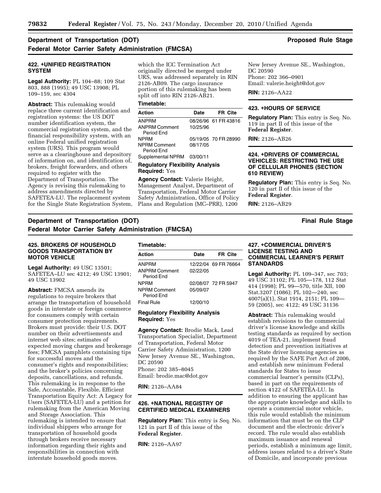## **Department of Transportation (DOT)** And the stage of the stage of the Stage of the Stage of the Stage of the Stage of the Stage of the Stage of the Stage of the Stage of the Stage of the Stage of the Stage of the Stage of **Federal Motor Carrier Safety Administration (FMCSA)**

### **422. +UNIFIED REGISTRATION SYSTEM**

**Legal Authority:** PL 104–88; 109 Stat 803, 888 (1995); 49 USC 13908; PL 109–159, sec 4304

**Abstract:** This rulemaking would replace three current identification and registration systems: the US DOT number identification system, the commercial registration system, and the financial responsibility system, with an online Federal unified registration system (URS). This program would serve as a clearinghouse and depository of information on, and identification of, brokers, freight forwarders, and others required to register with the Department of Transportation. The Agency is revising this rulemaking to address amendments directed by SAFETEA-LU. The replacement system for the Single State Registration System, which the ICC Termination Act originally directed be merged under URS, was addressed separately in RIN 2126-AB09. The cargo insurance portion of this rulemaking has been split off into RIN 2126-AB21.

### **Timetable:**

| Action                             | Date     | <b>FR Cite</b>       |
|------------------------------------|----------|----------------------|
| <b>ANPRM</b>                       |          | 08/26/96 61 FR 43816 |
| <b>ANPRM Comment</b><br>Period End | 10/25/96 |                      |
| <b>NPRM</b>                        |          | 05/19/05 70 FR 28990 |
| <b>NPRM Comment</b><br>Period Fnd  | 08/17/05 |                      |

Supplemental NPRM 03/00/11

### **Regulatory Flexibility Analysis Required:** Yes

**Agency Contact:** Valerie Height, Management Analyst, Department of Transportation, Federal Motor Carrier Safety Administration, Office of Policy Plans and Regulation (MC–PRR), 1200

New Jersey Avenue SE., Washington, DC 20590 Phone: 202 366–0901 Email[: valerie.height@dot.gov](mailto:valerie.height@dot.gov) 

**RIN:** 2126–AA22

#### **423.** Œ**HOURS OF SERVICE**

**Regulatory Plan:** This entry is Seq. No. 119 in part II of this issue of the **Federal Register**.

**RIN:** 2126–AB26

## **424. +DRIVERS OF COMMERCIAL VEHICLES: RESTRICTING THE USE OF CELLULAR PHONES (SECTION 610 REVIEW)**

**Regulatory Plan:** This entry is Seq. No. 120 in part II of this issue of the **Federal Register**.

**RIN:** 2126–AB29

## **Department of Transportation (DOT)** And the stage of the stage and the stage and the stage of the stage of the stage of the stage of the stage of the stage of the stage of the stage of the stage of the stage of the stage **Federal Motor Carrier Safety Administration (FMCSA)**

## **425. BROKERS OF HOUSEHOLD GOODS TRANSPORTATION BY MOTOR VEHICLE**

**Legal Authority:** 49 USC 13501; SAFETEA–LU sec 4212; 49 USC 13901; 49 USC 13902

**Abstract:** FMCSA amends its regulations to require brokers that arrange the transportation of household goods in interstate or foreign commerce for consumers comply with certain consumer protection requirements. Brokers must provide: their U.S. DOT number on their advertisements and internet web sites; estimates of expected moving charges and brokerage fees; FMCSA pamphlets containing tips for successful moves and the consumer's rights and responsibilities; and the broker's policies concerning deposits, cancellations, and refunds. This rulemaking is in response to the Safe, Accountable, Flexible, Efficient Transportation Equity Act: A Legacy for Users (SAFETEA-LU) and a petition for rulemaking from the American Moving and Storage Association. This rulemaking is intended to ensure that individual shippers who arrange for transportation of household goods through brokers receive necessary information regarding their rights and responsibilities in connection with interstate household goods moves.

| Timetable:                         |          |                      |
|------------------------------------|----------|----------------------|
| Action                             | Date     | FR Cite              |
| <b>ANPRM</b>                       |          | 12/22/04 69 FR 76664 |
| <b>ANPRM Comment</b><br>Period Fnd | 02/22/05 |                      |
| <b>NPRM</b>                        |          | 02/08/07 72 FR 5947  |
| <b>NPRM Comment</b><br>Period Fnd  | 05/09/07 |                      |
| <b>Final Rule</b>                  | 12/00/10 |                      |

## **Regulatory Flexibility Analysis Required:** Yes

**Agency Contact:** Brodie Mack, Lead Transportation Specialist, Department of Transportation, Federal Motor Carrier Safety Administration, 1200 New Jersey Avenue SE., Washington, DC 20590 Phone: 202 385–8045 Email[: brodie.mac@dot.gov](mailto:brodie.mac@dot.gov) 

**RIN:** 2126–AA84

## **426. +NATIONAL REGISTRY OF CERTIFIED MEDICAL EXAMINERS**

**Regulatory Plan:** This entry is Seq. No. 121 in part II of this issue of the **Federal Register**.

**RIN:** 2126–AA97

## **427.** Œ**COMMERCIAL DRIVER'S LICENSE TESTING AND COMMERCIAL LEARNER'S PERMIT STANDARDS**

**Legal Authority:** PL 109–347, sec 703; 49 USC 31102; PL 105—178, 112 Stat 414 (1998); PL 99—570, title XII, 100 Stat.3207 (1086); PL 102—240, sec 4007(a)(1), Stat 1914, 2151; PL 109— 59 (2005), sec 4122; 49 USC 31136

**Abstract:** This rulemaking would establish revisions to the commercial driver's license knowledge and skills testing standards as required by section 4019 of TEA-21, implement fraud detection and prevention initiatives at the State driver licensing agencies as required by the SAFE Port Act of 2006, and establish new minimum Federal standards for States to issue commercial learner's permits (CLPs), based in part on the requirements of section 4122 of SAFETEA-LU. In addition to ensuring the applicant has the appropriate knowledge and skills to operate a commercial motor vehicle, this rule would establish the minimum information that must be on the CLP document and the electronic driver's record. The rule would also establish maximum issuance and renewal periods, establish a minimum age limit, address issues related to a driver's State of Domicile, and incorporate previous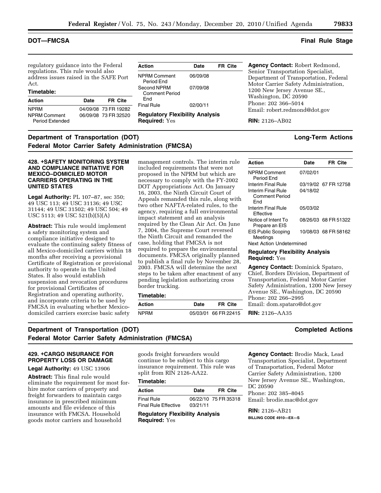regulatory guidance into the Federal regulations. This rule would also address issues raised in the SAFE Port Act.

## **Timetable:**

| <b>Action</b>                          | Date | <b>FR Cite</b>       |
|----------------------------------------|------|----------------------|
| <b>NPRM</b>                            |      | 04/09/08 73 FR 19282 |
| <b>NPRM Comment</b><br>Period Extended |      | 06/09/08 73 FR 32520 |

| Action                                                  | Date     | <b>FR Cite</b> |
|---------------------------------------------------------|----------|----------------|
| <b>NPRM Comment</b><br>Period Fnd                       | 06/09/08 |                |
| Second NPRM<br><b>Comment Period</b><br>Fnd             | 07/09/08 |                |
| Final Rule                                              | 02/00/11 |                |
| <b>Regulatory Flexibility Analysis</b><br>Required: Yes |          |                |

## **Agency Contact:** Robert Redmond, Senior Transportation Specialist, Department of Transportation, Federal Motor Carrier Safety Administration, 1200 New Jersey Avenue SE., Washington, DC 20590 Phone: 202 366–5014 Email[: robert.redmond@dot.gov](mailto:robert.redmond@dot.gov)

**RIN:** 2126–AB02

## **Department of Transportation (DOT)** Department of Transportation (DOT) **Federal Motor Carrier Safety Administration (FMCSA)**

## **428. +SAFETY MONITORING SYSTEM AND COMPLIANCE INITIATIVE FOR MEXICO–DOMICILED MOTOR CARRIERS OPERATING IN THE UNITED STATES**

**Legal Authority:** PL 107–87, sec 350; 49 USC 113; 49 USC 31136; 49 USC 31144; 49 USC 31502; 49 USC 504; 49 USC 5113; 49 USC 521(b)(5)(A)

**Abstract:** This rule would implement a safety monitoring system and compliance initiative designed to evaluate the continuing safety fitness of all Mexico-domiciled carriers within 18 months after receiving a provisional Certificate of Registration or provisional authority to operate in the United States. It also would establish suspension and revocation procedures for provisional Certificates of Registration and operating authority, and incorporate criteria to be used by FMCSA in evaluating whether Mexicodomiciled carriers exercise basic safety

management controls. The interim rule included requirements that were not proposed in the NPRM but which are necessary to comply with the FY-2002 DOT Appropriations Act. On January 16, 2003, the Ninth Circuit Court of Appeals remanded this rule, along with two other NAFTA-related rules, to the agency, requiring a full environmental impact statement and an analysis required by the Clean Air Act. On June 7, 2004, the Supreme Court reversed the Ninth Circuit and remanded the case, holding that FMCSA is not required to prepare the environmental documents. FMCSA originally planned to publish a final rule by November 28, 2003. FMCSA will determine the next steps to be taken after enactment of any pending legislation authorizing cross border trucking.

#### **Timetable:**

| Action      | Date | FR Cite              |
|-------------|------|----------------------|
| <b>NPRM</b> |      | 05/03/01 66 FR 22415 |
|             |      |                      |

| Action                                             | Date     | <b>FR Cite</b>       |
|----------------------------------------------------|----------|----------------------|
| <b>NPRM Comment</b><br>Period Fnd                  | 07/02/01 |                      |
| Interim Final Rule                                 |          | 03/19/02 67 FR 12758 |
| Interim Final Rule<br><b>Comment Period</b><br>Fnd | 04/18/02 |                      |
| Interim Final Rule<br><b>Fffective</b>             | 05/03/02 |                      |
| Notice of Intent To<br>Prepare an EIS              |          | 08/26/03 68 FR 51322 |
| <b>EIS Public Scoping</b><br>Meetings              |          | 10/08/03 68 FR 58162 |
| Next Action Undetermined                           |          |                      |

### **Regulatory Flexibility Analysis Required:** Yes

**Agency Contact:** Dominick Spataro, Chief, Borders Division, Department of Transportation, Federal Motor Carrier Safety Administration, 1200 New Jersey Avenue SE., Washington, DC 20590 Phone: 202 266–2995 Emai[l: dom.spataro@dot.gov](mailto:dom.spataro@dot.gov) 

**RIN:** 2126–AA35

## **Department of Transportation (DOT) Completed Actions Federal Motor Carrier Safety Administration (FMCSA)**

## **429. +CARGO INSURANCE FOR PROPERTY LOSS OR DAMAGE**

## **Legal Authority:** 49 USC 13906

**Abstract:** This final rule would eliminate the requirement for most forhire motor carriers of property and freight forwarders to maintain cargo insurance in prescribed minimum amounts and file evidence of this insurance with FMCSA. Household goods motor carriers and household

goods freight forwarders would continue to be subject to this cargo insurance requirement. This rule was split from RIN 2126-AA22.

## **Timetable:**

| Action                      | Date     | <b>FR Cite</b>       |
|-----------------------------|----------|----------------------|
| Final Rule                  |          | 06/22/10 75 FR 35318 |
| <b>Final Rule Effective</b> | 03/21/11 |                      |

**Regulatory Flexibility Analysis Required:** Yes

**Agency Contact:** Brodie Mack, Lead Transportation Specialist, Department of Transportation, Federal Motor Carrier Safety Administration, 1200 New Jersey Avenue SE., Washington, DC 20590 Phone: 202 385–8045 Ema[il: brodie.mac@dot.gov](mailto:brodie.mac@dot.gov) 

**RIN:** 2126–AB21 **BILLING CODE 4910—EX—S** 

## **DOT—FMCSA Final Rule Stage**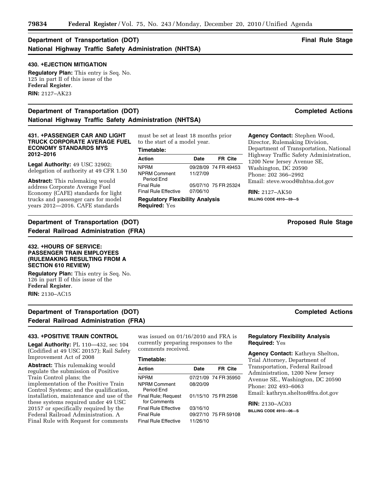## **Department of Transportation (DOT)** And the stage of the stage of the stage of the stage of the stage of the stage of the stage of the stage of the stage of the stage of the stage of the stage of the stage of the stage of **National Highway Traffic Safety Administration (NHTSA)**

## **430. <b>+EJECTION MITIGATION**

**Regulatory Plan:** This entry is Seq. No. 125 in part II of this issue of the **Federal Register**. **RIN:** 2127–AK23

## **Department of Transportation (DOT) Completed Actions National Highway Traffic Safety Administration (NHTSA)**

### **431.** Œ**PASSENGER CAR AND LIGHT TRUCK CORPORATE AVERAGE FUEL ECONOMY STANDARDS MYS 2012–2016**

**Legal Authority:** 49 USC 32902; delegation of authority at 49 CFR 1.50

**Abstract:** This rulemaking would address Corporate Average Fuel Economy (CAFE) standards for light trucks and passenger cars for model years 2012—2016. CAFE standards

**Department of Transportation (DOT) Proposed Rule Stage 19th** Proposed Rule Stage **Federal Railroad Administration (FRA)** 

## **432. +HOURS OF SERVICE: PASSENGER TRAIN EMPLOYEES (RULEMAKING RESULTING FROM A SECTION 610 REVIEW)**

**Regulatory Plan:** This entry is Seq. No. 126 in part II of this issue of the **Federal Register**. **RIN:** 2130–AC15

## **Department of Transportation (DOT)** Completed Actions **Completed Actions Federal Railroad Administration (FRA)**

### **433. +POSITIVE TRAIN CONTROL**

**Legal Authority:** PL 110—432, sec 104 (Codified at 49 USC 20157); Rail Safety Improvement Act of 2008

**Abstract:** This rulemaking would regulate the submission of Positive Train Control plans; the implementation of the Positive Train Control Systems; and the qualification, installation, maintenance and use of the these systems required under 49 USC 20157 or specifically required by the Federal Railroad Administration. A Final Rule with Request for comments

**Timetable:** 

must be set at least 18 months prior

to the start of a model year.

| Action                                                  | Date     | <b>FR Cite</b>       |
|---------------------------------------------------------|----------|----------------------|
| <b>NPRM</b>                                             |          | 09/28/09 74 FR 49453 |
| <b>NPRM Comment</b><br>Period Fnd                       | 11/27/09 |                      |
| Final Rule                                              |          | 05/07/10 75 FR 25324 |
| Final Rule Effective                                    | 07/06/10 |                      |
| <b>Regulatory Flexibility Analysis</b><br>Required: Yes |          |                      |

**Agency Contact:** Stephen Wood,

Director, Rulemaking Division, Department of Transportation, National Highway Traffic Safety Administration, 1200 New Jersey Avenue SE, Washington, DC 20590 Phone: 202 366–2992 Email[: steve.wood@nhtsa.dot.gov](mailto:steve.wood@nhtsa.dot.gov) 

**RIN:** 2127–AK50 **BILLING CODE 4910—59—S** 

## was issued on 01/16/2010 and FRA is currently preparing responses to the

#### **Timetable:**

comments received.

| Action                                     | Date     | FR Cite              |
|--------------------------------------------|----------|----------------------|
| <b>NPRM</b>                                |          | 07/21/09 74 FR 35950 |
| <b>NPRM Comment</b><br>Period End          | 08/20/09 |                      |
| <b>Final Rule: Request</b><br>for Comments |          | 01/15/10 75 FR 2598  |
| <b>Final Rule Effective</b>                | 03/16/10 |                      |
| <b>Final Rule</b>                          |          | 09/27/10 75 FR 59108 |
| <b>Final Rule Effective</b>                | 11/26/10 |                      |

## **Regulatory Flexibility Analysis Required:** Yes

**Agency Contact:** Kathryn Shelton, Trial Attorney, Department of Transportation, Federal Railroad Administration, 1200 New Jersey Avenue SE., Washington, DC 20590 Phone: 202 493–6063 Email[: kathryn.shelton@fra.dot.gov](mailto:kathryn.shelton@fra.dot.gov) 

**RIN:** 2130–AC03 **BILLING CODE 4910—06—S**